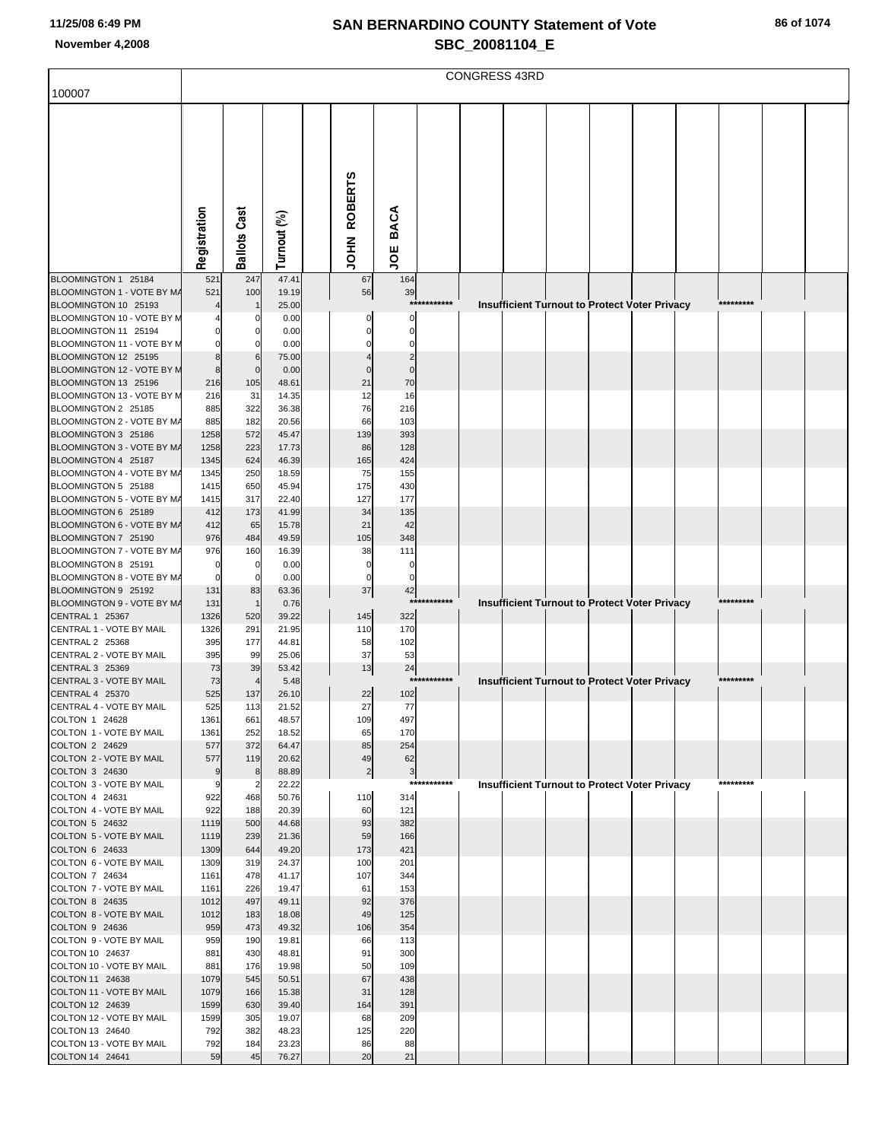| 100007                                               |              |                              |                |                |                   |             | <b>CONGRESS 43RD</b> |                                                      |  |           |  |
|------------------------------------------------------|--------------|------------------------------|----------------|----------------|-------------------|-------------|----------------------|------------------------------------------------------|--|-----------|--|
|                                                      |              |                              |                |                |                   |             |                      |                                                      |  |           |  |
|                                                      |              |                              |                |                |                   |             |                      |                                                      |  |           |  |
|                                                      |              |                              |                |                |                   |             |                      |                                                      |  |           |  |
|                                                      |              |                              |                |                |                   |             |                      |                                                      |  |           |  |
|                                                      |              |                              |                |                |                   |             |                      |                                                      |  |           |  |
|                                                      |              |                              |                |                |                   |             |                      |                                                      |  |           |  |
|                                                      |              |                              |                |                | BACA              |             |                      |                                                      |  |           |  |
|                                                      | Registration | <b>Ballots Cast</b>          | Turnout (%)    | JOHN ROBERTS   |                   |             |                      |                                                      |  |           |  |
|                                                      |              |                              |                |                | υg                |             |                      |                                                      |  |           |  |
| BLOOMINGTON 1 25184<br>BLOOMINGTON 1 - VOTE BY M/    | 521<br>521   | 247<br>100                   | 47.41<br>19.19 | 67<br>56       | 164<br>39         |             |                      |                                                      |  |           |  |
| BLOOMINGTON 10 25193                                 |              | $\mathbf{1}$                 | 25.00          |                |                   | *********** |                      | Insufficient Turnout to Protect Voter Privacy        |  | ********* |  |
| BLOOMINGTON 10 - VOTE BY M                           |              | 0                            | 0.00           |                | $\Omega$          |             |                      |                                                      |  |           |  |
| BLOOMINGTON 11 25194<br>BLOOMINGTON 11 - VOTE BY M   |              | 0<br>0                       | 0.00<br>0.00   |                | $\Omega$<br>0     |             |                      |                                                      |  |           |  |
| BLOOMINGTON 12 25195                                 | 8            | 6                            | 75.00          |                | 2                 |             |                      |                                                      |  |           |  |
| BLOOMINGTON 12 - VOTE BY M<br>BLOOMINGTON 13 25196   | 8<br>216     | $\mathbf 0$<br>105           | 0.00<br>48.61  | $\Omega$<br>21 | $\mathbf 0$<br>70 |             |                      |                                                      |  |           |  |
| BLOOMINGTON 13 - VOTE BY M                           | 216          | 31                           | 14.35          | 12             | 16                |             |                      |                                                      |  |           |  |
| BLOOMINGTON 2 25185                                  | 885          | 322                          | 36.38          | 76             | 216               |             |                      |                                                      |  |           |  |
| BLOOMINGTON 2 - VOTE BY M/<br>BLOOMINGTON 3 25186    | 885<br>1258  | 182<br>572                   | 20.56<br>45.47 | 66<br>139      | 103<br>393        |             |                      |                                                      |  |           |  |
| BLOOMINGTON 3 - VOTE BY MA                           | 1258         | 223                          | 17.73          | 86             | 128               |             |                      |                                                      |  |           |  |
| BLOOMINGTON 4 25187<br>BLOOMINGTON 4 - VOTE BY M/    | 1345<br>1345 | 624<br>250                   | 46.39<br>18.59 | 165<br>75      | 424<br>155        |             |                      |                                                      |  |           |  |
| BLOOMINGTON 5 25188                                  | 1415         | 650                          | 45.94          | 175            | 430               |             |                      |                                                      |  |           |  |
| BLOOMINGTON 5 - VOTE BY M/                           | 1415         | 317                          | 22.40          | 127            | 177               |             |                      |                                                      |  |           |  |
| BLOOMINGTON 6 25189<br>BLOOMINGTON 6 - VOTE BY M/    | 412<br>412   | 173<br>65                    | 41.99<br>15.78 | 34<br>21       | 135<br>42         |             |                      |                                                      |  |           |  |
| BLOOMINGTON 7 25190                                  | 976          | 484                          | 49.59          | 105            | 348               |             |                      |                                                      |  |           |  |
| BLOOMINGTON 7 - VOTE BY M/<br>BLOOMINGTON 8 25191    | 976<br>0     | 160<br>0                     | 16.39<br>0.00  | 38<br>$\Omega$ | 111<br>0          |             |                      |                                                      |  |           |  |
| BLOOMINGTON 8 - VOTE BY M/                           | 0            | 0                            | 0.00           | $\Omega$       | 0                 |             |                      |                                                      |  |           |  |
| BLOOMINGTON 9 25192                                  | 131          | 83                           | 63.36          | 37             | 42                | *********** |                      |                                                      |  | ********* |  |
| BLOOMINGTON 9 - VOTE BY MA<br><b>CENTRAL 1 25367</b> | 131<br>1326  | $\mathbf{1}$<br>520          | 0.76<br>39.22  | 145            | 322               |             |                      | Insufficient Turnout to Protect Voter Privacy        |  |           |  |
| CENTRAL 1 - VOTE BY MAIL                             | 1326         | 291                          | 21.95          | 110            | 170               |             |                      |                                                      |  |           |  |
| CENTRAL 2 25368<br>CENTRAL 2 - VOTE BY MAIL          | 395<br>395   | 177<br>99                    | 44.81<br>25.06 | 58<br>37       | 102<br>53         |             |                      |                                                      |  |           |  |
| <b>CENTRAL 3 25369</b>                               | 73           | 39                           | 53.42          | 13             | 24                |             |                      |                                                      |  |           |  |
| CENTRAL 3 - VOTE BY MAIL                             | 73<br>525    | $\overline{4}$               | 5.48<br>26.10  |                | 102               | *********** |                      | <b>Insufficient Turnout to Protect Voter Privacy</b> |  | ********* |  |
| CENTRAL 4 25370<br>CENTRAL 4 - VOTE BY MAIL          | 525          | 137<br>113                   | 21.52          | 22<br>27       | 77                |             |                      |                                                      |  |           |  |
| COLTON 1 24628                                       | 1361         | 661                          | 48.57          | 109            | 497               |             |                      |                                                      |  |           |  |
| COLTON 1 - VOTE BY MAIL<br>COLTON 2 24629            | 1361<br>577  | 252<br>372                   | 18.52<br>64.47 | 65<br>85       | 170<br>254        |             |                      |                                                      |  |           |  |
| COLTON 2 - VOTE BY MAIL                              | 577          | 119                          | 20.62          | 49             | 62                |             |                      |                                                      |  |           |  |
| COLTON 3 24630<br>COLTON 3 - VOTE BY MAIL            | 9<br>9       | 8<br>$\overline{\mathbf{c}}$ | 88.89<br>22.22 | $\overline{2}$ | $\mathbf{3}$      | *********** |                      | <b>Insufficient Turnout to Protect Voter Privacy</b> |  | ********* |  |
| COLTON 4 24631                                       | 922          | 468                          | 50.76          | 110            | 314               |             |                      |                                                      |  |           |  |
| COLTON 4 - VOTE BY MAIL                              | 922          | 188                          | 20.39          | 60             | 121               |             |                      |                                                      |  |           |  |
| COLTON 5 24632<br>COLTON 5 - VOTE BY MAIL            | 1119<br>1119 | 500<br>239                   | 44.68<br>21.36 | 93<br>59       | 382<br>166        |             |                      |                                                      |  |           |  |
| COLTON 6 24633                                       | 1309         | 644                          | 49.20          | 173            | 421               |             |                      |                                                      |  |           |  |
| COLTON 6 - VOTE BY MAIL<br>COLTON 7 24634            | 1309<br>1161 | 319<br>478                   | 24.37<br>41.17 | 100<br>107     | 201<br>344        |             |                      |                                                      |  |           |  |
| COLTON 7 - VOTE BY MAIL                              | 1161         | 226                          | 19.47          | 61             | 153               |             |                      |                                                      |  |           |  |
| COLTON 8 24635                                       | 1012         | 497                          | 49.11          | 92             | 376               |             |                      |                                                      |  |           |  |
| COLTON 8 - VOTE BY MAIL<br>COLTON 9 24636            | 1012<br>959  | 183<br>473                   | 18.08<br>49.32 | 49<br>106      | 125<br>354        |             |                      |                                                      |  |           |  |
| COLTON 9 - VOTE BY MAIL                              | 959          | 190                          | 19.81          | 66             | 113               |             |                      |                                                      |  |           |  |
| COLTON 10 24637<br>COLTON 10 - VOTE BY MAIL          | 881<br>881   | 430<br>176                   | 48.81<br>19.98 | 91<br>50       | 300<br>109        |             |                      |                                                      |  |           |  |
| COLTON 11 24638                                      | 1079         | 545                          | 50.51          | 67             | 438               |             |                      |                                                      |  |           |  |
| COLTON 11 - VOTE BY MAIL<br>COLTON 12 24639          | 1079<br>1599 | 166<br>630                   | 15.38<br>39.40 | 31<br>164      | 128<br>391        |             |                      |                                                      |  |           |  |
| COLTON 12 - VOTE BY MAIL                             | 1599         | 305                          | 19.07          | 68             | 209               |             |                      |                                                      |  |           |  |
| COLTON 13 24640                                      | 792          | 382                          | 48.23          | 125            | 220               |             |                      |                                                      |  |           |  |
| COLTON 13 - VOTE BY MAIL<br>COLTON 14 24641          | 792<br>59    | 184<br>45                    | 23.23<br>76.27 | 86<br>20       | 88<br>21          |             |                      |                                                      |  |           |  |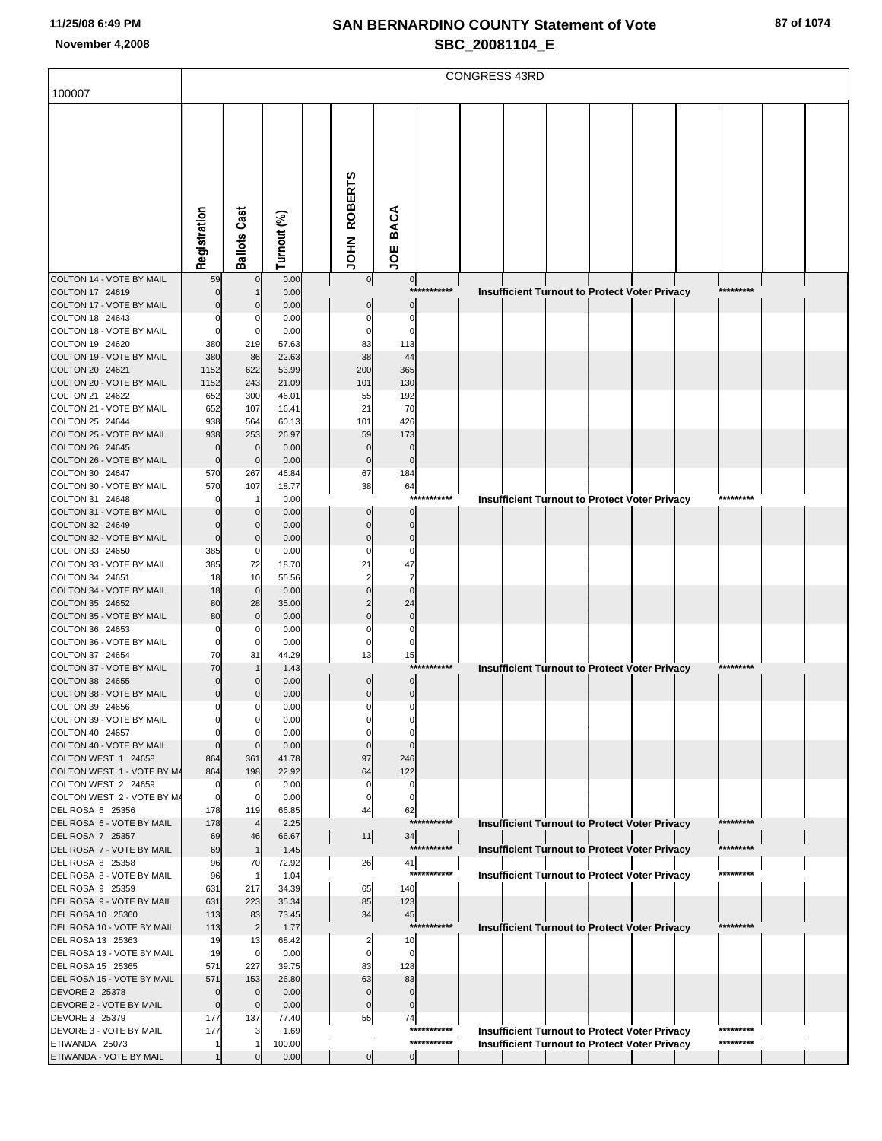| 100007                                            |                    |                       |                |                   |                            |                            | <b>CONGRESS 43RD</b> |  |                                                                                                              |            |  |
|---------------------------------------------------|--------------------|-----------------------|----------------|-------------------|----------------------------|----------------------------|----------------------|--|--------------------------------------------------------------------------------------------------------------|------------|--|
|                                                   |                    |                       |                |                   |                            |                            |                      |  |                                                                                                              |            |  |
|                                                   |                    |                       |                |                   |                            |                            |                      |  |                                                                                                              |            |  |
|                                                   |                    |                       |                |                   |                            |                            |                      |  |                                                                                                              |            |  |
|                                                   |                    |                       |                |                   |                            |                            |                      |  |                                                                                                              |            |  |
|                                                   |                    |                       |                | <b>ROBERTS</b>    |                            |                            |                      |  |                                                                                                              |            |  |
|                                                   |                    |                       |                |                   |                            |                            |                      |  |                                                                                                              |            |  |
|                                                   |                    |                       |                |                   | <b>BACA</b>                |                            |                      |  |                                                                                                              |            |  |
|                                                   | Registration       | <b>Ballots Cast</b>   | Turnout (%)    | NHOL              |                            |                            |                      |  |                                                                                                              |            |  |
|                                                   |                    |                       |                |                   | ğ                          |                            |                      |  |                                                                                                              |            |  |
| COLTON 14 - VOTE BY MAIL<br>COLTON 17 24619       | 59                 | $\mathbf 0$           | 0.00<br>0.00   | $\circ$           | $\overline{0}$             | ************               |                      |  |                                                                                                              | *********  |  |
| COLTON 17 - VOTE BY MAIL                          |                    | $\Omega$              | 0.00           |                   | $\mathbf{0}$               |                            |                      |  | Insufficient Turnout to Protect Voter Privacy                                                                |            |  |
| COLTON 18 24643                                   |                    |                       | 0.00           |                   | C                          |                            |                      |  |                                                                                                              |            |  |
| COLTON 18 - VOTE BY MAIL<br>COLTON 19 24620       | 0<br>380           | 0<br>219              | 0.00<br>57.63  | 83                | 113                        |                            |                      |  |                                                                                                              |            |  |
| COLTON 19 - VOTE BY MAIL                          | 380                | 86                    | 22.63          | 38                | 44                         |                            |                      |  |                                                                                                              |            |  |
| COLTON 20 24621<br>COLTON 20 - VOTE BY MAIL       | 1152<br>1152       | 622<br>243            | 53.99<br>21.09 | 200<br>101        | 365<br>130                 |                            |                      |  |                                                                                                              |            |  |
| COLTON 21 24622                                   | 652                | 300                   | 46.01          | 55                | 192                        |                            |                      |  |                                                                                                              |            |  |
| COLTON 21 - VOTE BY MAIL                          | 652                | 107                   | 16.41          | 21                | 70                         |                            |                      |  |                                                                                                              |            |  |
| COLTON 25 24644<br>COLTON 25 - VOTE BY MAIL       | 938<br>938         | 564<br>253            | 60.13<br>26.97 | 101<br>59         | 426<br>173                 |                            |                      |  |                                                                                                              |            |  |
| COLTON 26 24645                                   | $\Omega$           | $\mathbf 0$           | 0.00           | $\mathbf 0$       | $\overline{0}$             |                            |                      |  |                                                                                                              |            |  |
| COLTON 26 - VOTE BY MAIL<br>COLTON 30 24647       | $\mathbf 0$<br>570 | $\mathbf 0$<br>267    | 0.00<br>46.84  | $\mathbf 0$<br>67 | $\mathbf 0$<br>184         |                            |                      |  |                                                                                                              |            |  |
| COLTON 30 - VOTE BY MAIL                          | 570                | 107                   | 18.77          | 38                | 64                         |                            |                      |  |                                                                                                              |            |  |
| COLTON 31 24648                                   |                    |                       | 0.00           |                   |                            | ***********                |                      |  | <b>Insufficient Turnout to Protect Voter Privacy</b>                                                         | *********  |  |
| COLTON 31 - VOTE BY MAIL<br>COLTON 32 24649       |                    | 0<br>$\Omega$         | 0.00<br>0.00   |                   | $\Omega$<br>$\Omega$       |                            |                      |  |                                                                                                              |            |  |
| COLTON 32 - VOTE BY MAIL                          | $\Omega$           | $\mathbf 0$           | 0.00           | 0                 | $\Omega$                   |                            |                      |  |                                                                                                              |            |  |
| COLTON 33 24650<br>COLTON 33 - VOTE BY MAIL       | 385<br>385         | 0<br>72               | 0.00<br>18.70  | C<br>21           | C<br>47                    |                            |                      |  |                                                                                                              |            |  |
| COLTON 34 24651                                   | 18                 | 10                    | 55.56          | $\overline{2}$    | $\overline{7}$             |                            |                      |  |                                                                                                              |            |  |
| COLTON 34 - VOTE BY MAIL<br>COLTON 35 24652       | 18<br>80           | $\mathbf 0$<br>28     | 0.00<br>35.00  |                   | $\Omega$<br>24             |                            |                      |  |                                                                                                              |            |  |
| COLTON 35 - VOTE BY MAIL                          | 80                 | $\mathbf 0$           | 0.00           | $\Omega$          | $\mathbf 0$                |                            |                      |  |                                                                                                              |            |  |
| COLTON 36 24653                                   | $\Omega$           | 0                     | 0.00           | $\Omega$          | $\Omega$                   |                            |                      |  |                                                                                                              |            |  |
| COLTON 36 - VOTE BY MAIL<br>COLTON 37 24654       | $\Omega$<br>70     | 0<br>31               | 0.00<br>44.29  | 0<br>13           | 15                         |                            |                      |  |                                                                                                              |            |  |
| COLTON 37 - VOTE BY MAIL                          | 70                 |                       | 1.43           |                   |                            | ***********                |                      |  | Insufficient Turnout to Protect Voter Privacy                                                                | *********  |  |
| COLTON 38 24655<br>COLTON 38 - VOTE BY MAIL       | $\overline{0}$     | $\Omega$<br>$\Omega$  | 0.00<br>0.00   | 0<br>$\mathbf 0$  | $\mathbf 0$<br>$\mathbf 0$ |                            |                      |  |                                                                                                              |            |  |
| COLTON 39 24656                                   |                    | 0                     | 0.00           |                   |                            |                            |                      |  |                                                                                                              |            |  |
| COLTON 39 - VOTE BY MAIL                          |                    | $\Omega$              | 0.00           |                   |                            |                            |                      |  |                                                                                                              |            |  |
| COLTON 40 24657<br>COLTON 40 - VOTE BY MAIL       |                    | $\mathcal{C}$         | 0.00<br>0.00   |                   | $\Omega$                   |                            |                      |  |                                                                                                              |            |  |
| COLTON WEST 1 24658                               | 864                | 361                   | 41.78          | 97                | 246                        |                            |                      |  |                                                                                                              |            |  |
| COLTON WEST 1 - VOTE BY M/<br>COLTON WEST 2 24659 | 864<br>$\Omega$    | 198<br>$\mathbf 0$    | 22.92<br>0.00  | 64<br>0           | 122<br>$\Omega$            |                            |                      |  |                                                                                                              |            |  |
| COLTON WEST 2 - VOTE BY M/                        | 0                  | 0                     | 0.00           | 0                 | C                          |                            |                      |  |                                                                                                              |            |  |
| DEL ROSA 6 25356<br>DEL ROSA 6 - VOTE BY MAIL     | 178<br>178         | 119<br>$\overline{4}$ | 66.85<br>2.25  | 44                | 62                         | ***********                |                      |  | Insufficient Turnout to Protect Voter Privacy                                                                | ********   |  |
| DEL ROSA 7 25357                                  | 69                 | 46                    | 66.67          | 11                | 34                         |                            |                      |  |                                                                                                              |            |  |
| DEL ROSA 7 - VOTE BY MAIL<br>DEL ROSA 8 25358     | 69<br>96           | $\mathbf{1}$<br>70    | 1.45<br>72.92  |                   |                            | ***********                |                      |  | Insufficient Turnout to Protect Voter Privacy                                                                | *********  |  |
| DEL ROSA 8 - VOTE BY MAIL                         | 96                 | $\mathbf{1}$          | 1.04           | 26                | 41                         | ***********                |                      |  | <b>Insufficient Turnout to Protect Voter Privacy</b>                                                         | *********  |  |
| DEL ROSA 9 25359                                  | 631                | 217                   | 34.39          | 65                | 140                        |                            |                      |  |                                                                                                              |            |  |
| DEL ROSA 9 - VOTE BY MAIL<br>DEL ROSA 10 25360    | 631<br>113         | 223<br>83             | 35.34<br>73.45 | 85<br>34          | 123<br>45                  |                            |                      |  |                                                                                                              |            |  |
| DEL ROSA 10 - VOTE BY MAIL                        | 113                | $\overline{2}$        | 1.77           |                   |                            | ***********                |                      |  | Insufficient Turnout to Protect Voter Privacy                                                                | ********** |  |
| DEL ROSA 13 25363<br>DEL ROSA 13 - VOTE BY MAIL   | 19<br>19           | 13<br>$\mathbf 0$     | 68.42<br>0.00  | 2<br>0            | 10<br>$\Omega$             |                            |                      |  |                                                                                                              |            |  |
| DEL ROSA 15 25365                                 | 571                | 227                   | 39.75          | 83                | 128                        |                            |                      |  |                                                                                                              |            |  |
| DEL ROSA 15 - VOTE BY MAIL                        | 571<br>$\Omega$    | 153<br>$\mathbf 0$    | 26.80          | 63<br>$\Omega$    | 83<br>$\mathbf 0$          |                            |                      |  |                                                                                                              |            |  |
| DEVORE 2 25378<br>DEVORE 2 - VOTE BY MAIL         | $\mathbf 0$        | $\mathbf 0$           | 0.00<br>0.00   | $\mathbf 0$       | $\mathbf 0$                |                            |                      |  |                                                                                                              |            |  |
| DEVORE 3 25379                                    | 177                | 137                   | 77.40          | 55                | 74                         |                            |                      |  |                                                                                                              | *********  |  |
| DEVORE 3 - VOTE BY MAIL<br>ETIWANDA 25073         | 177                | 3                     | 1.69<br>100.00 |                   |                            | ***********<br>*********** |                      |  | <b>Insufficient Turnout to Protect Voter Privacy</b><br><b>Insufficient Turnout to Protect Voter Privacy</b> | *********  |  |
| ETIWANDA - VOTE BY MAIL                           |                    |                       | 0.00           | $\overline{0}$    | <sub>0</sub>               |                            |                      |  |                                                                                                              |            |  |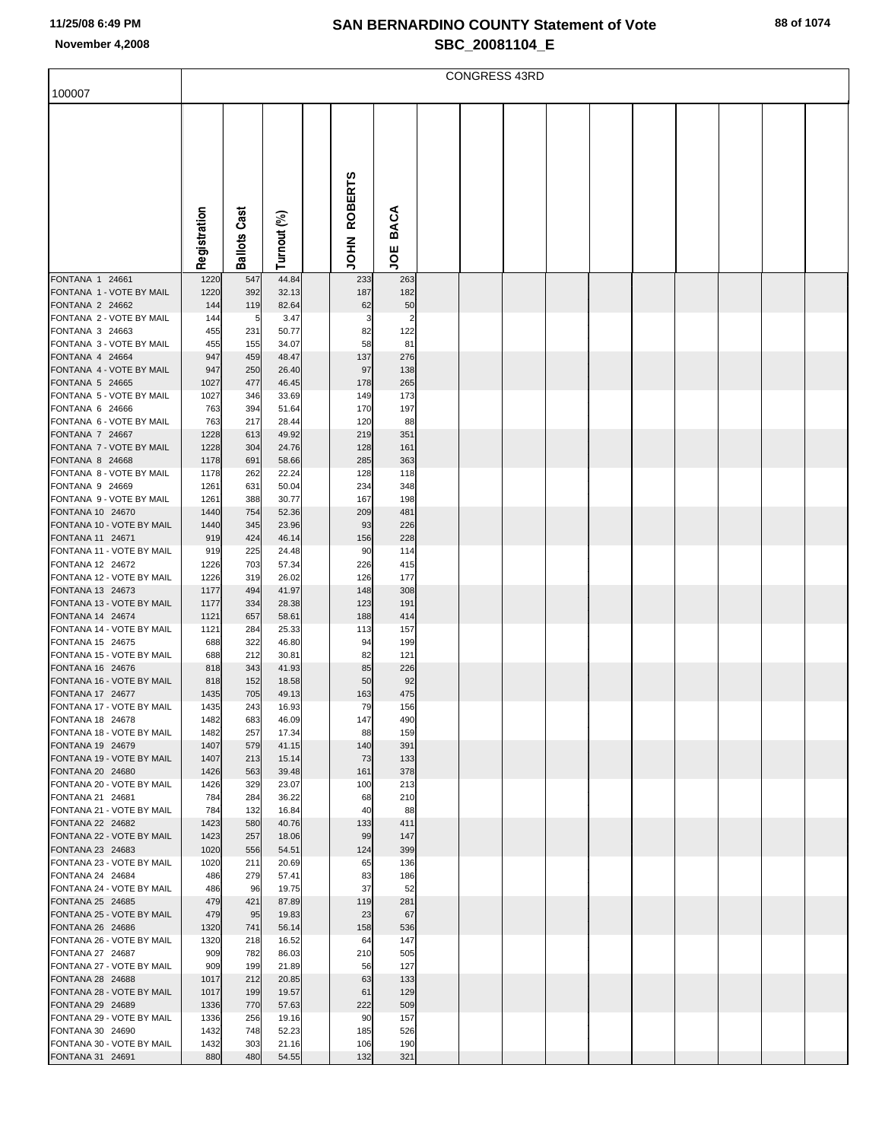|                                               |              |            |                |                |             | <b>CONGRESS 43RD</b> |  |  |  |  |
|-----------------------------------------------|--------------|------------|----------------|----------------|-------------|----------------------|--|--|--|--|
| 100007                                        |              |            |                |                |             |                      |  |  |  |  |
|                                               |              |            |                |                |             |                      |  |  |  |  |
|                                               |              | Cast       |                | <b>ROBERTS</b> | <b>BACA</b> |                      |  |  |  |  |
|                                               | Registration | Ballots    | Turnout (%)    | <b>NHOL</b>    | ğ           |                      |  |  |  |  |
| FONTANA 1 24661                               | 1220         | 547        | 44.84          | 233            | 263         |                      |  |  |  |  |
| FONTANA 1 - VOTE BY MAIL<br>FONTANA 2 24662   | 1220<br>144  | 392<br>119 | 32.13<br>82.64 | 187<br>62      | 182<br>50   |                      |  |  |  |  |
| FONTANA 2 - VOTE BY MAIL                      | 144          | 5          | 3.47           | 3              | 2           |                      |  |  |  |  |
| FONTANA 3 24663                               | 455          | 231        | 50.77          | 82             | 122         |                      |  |  |  |  |
| FONTANA 3 - VOTE BY MAIL                      | 455          | 155        | 34.07          | 58             | 81          |                      |  |  |  |  |
| FONTANA 4 24664<br>FONTANA 4 - VOTE BY MAIL   | 947<br>947   | 459<br>250 | 48.47<br>26.40 | 137<br>97      | 276<br>138  |                      |  |  |  |  |
| FONTANA 5 24665                               | 1027         | 477        | 46.45          | 178            | 265         |                      |  |  |  |  |
| FONTANA 5 - VOTE BY MAIL                      | 1027         | 346        | 33.69          | 149            | 173         |                      |  |  |  |  |
| FONTANA 6 24666                               | 763          | 394        | 51.64          | 170            | 197         |                      |  |  |  |  |
| FONTANA 6 - VOTE BY MAIL                      | 763          | 217        | 28.44          | 120            | 88          |                      |  |  |  |  |
| FONTANA 7 24667<br>FONTANA 7 - VOTE BY MAIL   | 1228<br>1228 | 613<br>304 | 49.92<br>24.76 | 219<br>128     | 351<br>161  |                      |  |  |  |  |
| FONTANA 8 24668                               | 1178         | 691        | 58.66          | 285            | 363         |                      |  |  |  |  |
| FONTANA 8 - VOTE BY MAIL                      | 1178         | 262        | 22.24          | 128            | 118         |                      |  |  |  |  |
| FONTANA 9 24669                               | 1261         | 631        | 50.04          | 234            | 348         |                      |  |  |  |  |
| FONTANA 9 - VOTE BY MAIL<br>FONTANA 10 24670  | 1261<br>1440 | 388<br>754 | 30.77<br>52.36 | 167<br>209     | 198<br>481  |                      |  |  |  |  |
| FONTANA 10 - VOTE BY MAIL                     | 1440         | 345        | 23.96          | 93             | 226         |                      |  |  |  |  |
| FONTANA 11 24671                              | 919          | 424        | 46.14          | 156            | 228         |                      |  |  |  |  |
| FONTANA 11 - VOTE BY MAIL                     | 919          | 225        | 24.48          | 90             | 114         |                      |  |  |  |  |
| FONTANA 12 24672<br>FONTANA 12 - VOTE BY MAIL | 1226<br>1226 | 703<br>319 | 57.34<br>26.02 | 226<br>126     | 415<br>177  |                      |  |  |  |  |
| FONTANA 13 24673                              | 1177         | 494        | 41.97          | 148            | 308         |                      |  |  |  |  |
| FONTANA 13 - VOTE BY MAIL                     | 1177         | 334        | 28.38          | 123            | 191         |                      |  |  |  |  |
| FONTANA 14 24674                              | 1121         | 657        | 58.61          | 188            | 414         |                      |  |  |  |  |
| FONTANA 14 - VOTE BY MAIL<br>FONTANA 15 24675 | 1121<br>688  | 284<br>322 | 25.33<br>46.80 | 113<br>94      | 157<br>199  |                      |  |  |  |  |
| FONTANA 15 - VOTE BY MAIL                     | 688          | 212        | 30.81          | 82             | 121         |                      |  |  |  |  |
| FONTANA 16 24676                              | 818          | 343        | 41.93          | 85             | 226         |                      |  |  |  |  |
| FONTANA 16 - VOTE BY MAIL                     | 818          | 152        | 18.58          | 50             | 92          |                      |  |  |  |  |
| FONTANA 17 24677<br>FONTANA 17 - VOTE BY MAIL | 1435<br>1435 | 705<br>243 | 49.13<br>16.93 | 163<br>79      | 475<br>156  |                      |  |  |  |  |
| FONTANA 18 24678                              | 1482         | 683        | 46.09          | 147            | 490         |                      |  |  |  |  |
| FONTANA 18 - VOTE BY MAIL                     | 1482         | 257        | 17.34          | 88             | 159         |                      |  |  |  |  |
| FONTANA 19 24679                              | 1407         | 579        | 41.15          | 140            | 391         |                      |  |  |  |  |
| FONTANA 19 - VOTE BY MAIL<br>FONTANA 20 24680 | 1407<br>1426 | 213<br>563 | 15.14<br>39.48 | 73<br>161      | 133<br>378  |                      |  |  |  |  |
| FONTANA 20 - VOTE BY MAIL                     | 1426         | 329        | 23.07          | 100            | 213         |                      |  |  |  |  |
| FONTANA 21 24681                              | 784          | 284        | 36.22          | 68             | 210         |                      |  |  |  |  |
| FONTANA 21 - VOTE BY MAIL                     | 784          | 132        | 16.84          | 40             | 88          |                      |  |  |  |  |
| FONTANA 22 24682<br>FONTANA 22 - VOTE BY MAIL | 1423<br>1423 | 580<br>257 | 40.76<br>18.06 | 133<br>99      | 411<br>147  |                      |  |  |  |  |
| FONTANA 23 24683                              | 1020         | 556        | 54.51          | 124            | 399         |                      |  |  |  |  |
| FONTANA 23 - VOTE BY MAIL                     | 1020         | 211        | 20.69          | 65             | 136         |                      |  |  |  |  |
| FONTANA 24 24684                              | 486          | 279        | 57.41          | 83             | 186         |                      |  |  |  |  |
| FONTANA 24 - VOTE BY MAIL<br>FONTANA 25 24685 | 486<br>479   | 96<br>421  | 19.75<br>87.89 | 37<br>119      | 52<br>281   |                      |  |  |  |  |
| FONTANA 25 - VOTE BY MAIL                     | 479          | 95         | 19.83          | 23             | 67          |                      |  |  |  |  |
| FONTANA 26 24686                              | 1320         | 741        | 56.14          | 158            | 536         |                      |  |  |  |  |
| FONTANA 26 - VOTE BY MAIL                     | 1320         | 218        | 16.52          | 64             | 147         |                      |  |  |  |  |
| FONTANA 27 24687                              | 909          | 782        | 86.03          | 210            | 505         |                      |  |  |  |  |
| FONTANA 27 - VOTE BY MAIL<br>FONTANA 28 24688 | 909<br>1017  | 199<br>212 | 21.89<br>20.85 | 56<br>63       | 127<br>133  |                      |  |  |  |  |
| FONTANA 28 - VOTE BY MAIL                     | 1017         | 199        | 19.57          | 61             | 129         |                      |  |  |  |  |
| FONTANA 29 24689                              | 1336         | 770        | 57.63          | 222            | 509         |                      |  |  |  |  |
| FONTANA 29 - VOTE BY MAIL                     | 1336         | 256        | 19.16          | 90             | 157         |                      |  |  |  |  |
| FONTANA 30 24690<br>FONTANA 30 - VOTE BY MAIL | 1432<br>1432 | 748<br>303 | 52.23<br>21.16 | 185<br>106     | 526<br>190  |                      |  |  |  |  |
| FONTANA 31 24691                              | 880          | 480        | 54.55          | 132            | 321         |                      |  |  |  |  |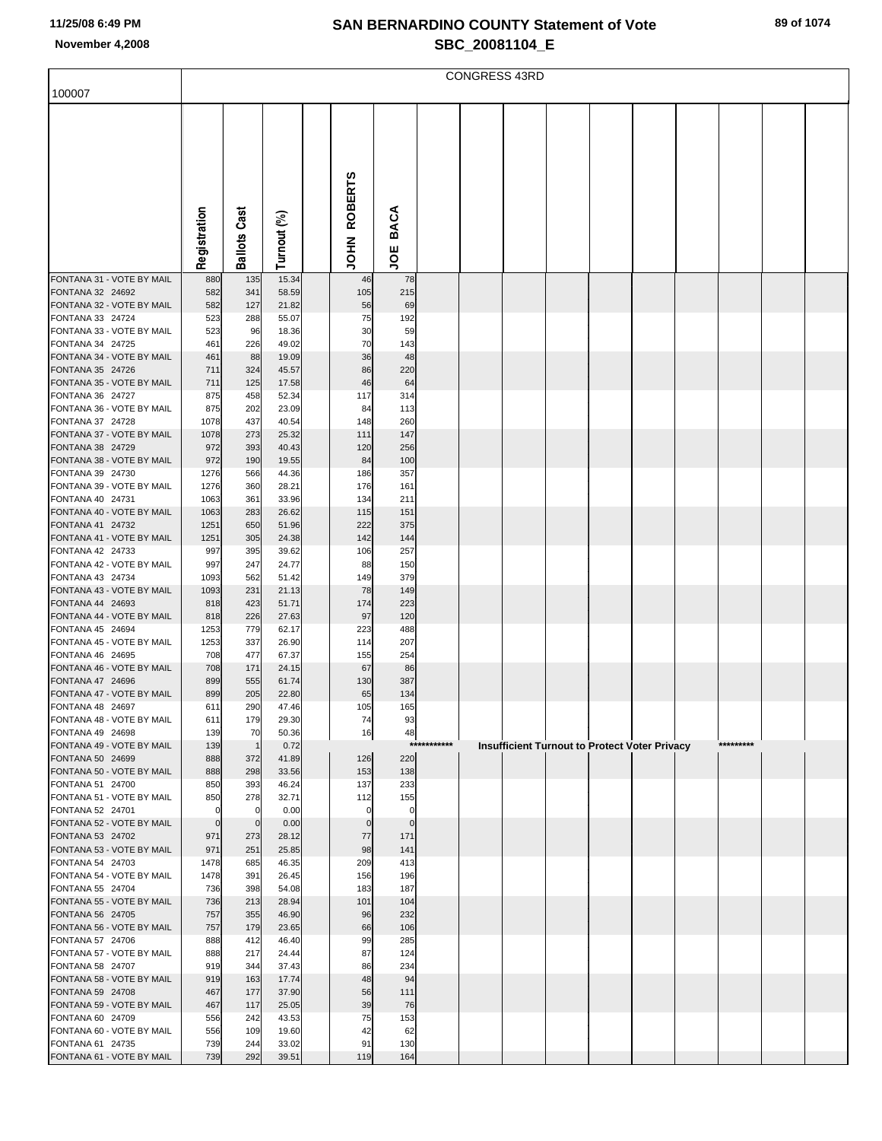|                                               |                  |                     |                |                            |                          |         | <b>CONGRESS 43RD</b> |  |                                                      |           |  |
|-----------------------------------------------|------------------|---------------------|----------------|----------------------------|--------------------------|---------|----------------------|--|------------------------------------------------------|-----------|--|
| 100007                                        |                  |                     |                |                            |                          |         |                      |  |                                                      |           |  |
|                                               |                  |                     |                |                            |                          |         |                      |  |                                                      |           |  |
|                                               |                  |                     |                |                            |                          |         |                      |  |                                                      |           |  |
|                                               |                  |                     |                |                            |                          |         |                      |  |                                                      |           |  |
|                                               |                  |                     |                |                            |                          |         |                      |  |                                                      |           |  |
|                                               |                  |                     |                |                            |                          |         |                      |  |                                                      |           |  |
|                                               |                  |                     |                | <b>ROBERTS</b>             |                          |         |                      |  |                                                      |           |  |
|                                               |                  |                     |                |                            | <b>BACA</b>              |         |                      |  |                                                      |           |  |
|                                               | Registration     | <b>Ballots Cast</b> | Turnout (%)    | NHOL                       |                          |         |                      |  |                                                      |           |  |
|                                               |                  |                     |                |                            | ğ                        |         |                      |  |                                                      |           |  |
| FONTANA 31 - VOTE BY MAIL                     | 880              | 135                 | 15.34          | 46                         | 78                       |         |                      |  |                                                      |           |  |
| FONTANA 32 24692<br>FONTANA 32 - VOTE BY MAIL | 582<br>582       | 341<br>127          | 58.59<br>21.82 | 105<br>56                  | 215<br>69                |         |                      |  |                                                      |           |  |
| FONTANA 33 24724                              | 523              | 288                 | 55.07          | 75                         | 192                      |         |                      |  |                                                      |           |  |
| FONTANA 33 - VOTE BY MAIL<br>FONTANA 34 24725 | 523<br>461       | 96<br>226           | 18.36<br>49.02 | 30<br>70                   | 59<br>143                |         |                      |  |                                                      |           |  |
| FONTANA 34 - VOTE BY MAIL                     | 461              | 88                  | 19.09          | 36                         | 48                       |         |                      |  |                                                      |           |  |
| FONTANA 35 24726                              | 711              | 324                 | 45.57          | 86                         | 220                      |         |                      |  |                                                      |           |  |
| FONTANA 35 - VOTE BY MAIL<br>FONTANA 36 24727 | 711<br>875       | 125<br>458          | 17.58<br>52.34 | 46<br>117                  | 64<br>314                |         |                      |  |                                                      |           |  |
| FONTANA 36 - VOTE BY MAIL                     | 875              | 202                 | 23.09          | 84                         | 113                      |         |                      |  |                                                      |           |  |
| FONTANA 37 24728                              | 1078             | 437                 | 40.54          | 148                        | 260                      |         |                      |  |                                                      |           |  |
| FONTANA 37 - VOTE BY MAIL<br>FONTANA 38 24729 | 1078<br>972      | 273<br>393          | 25.32<br>40.43 | 111<br>120                 | 147<br>256               |         |                      |  |                                                      |           |  |
| FONTANA 38 - VOTE BY MAIL                     | 972              | 190                 | 19.55          | 84                         | 100                      |         |                      |  |                                                      |           |  |
| FONTANA 39 24730<br>FONTANA 39 - VOTE BY MAIL | 1276             | 566<br>360          | 44.36          | 186                        | 357                      |         |                      |  |                                                      |           |  |
| FONTANA 40 24731                              | 1276<br>1063     | 361                 | 28.21<br>33.96 | 176<br>134                 | 161<br>211               |         |                      |  |                                                      |           |  |
| FONTANA 40 - VOTE BY MAIL                     | 1063             | 283                 | 26.62          | 115                        | 151                      |         |                      |  |                                                      |           |  |
| FONTANA 41 24732<br>FONTANA 41 - VOTE BY MAIL | 1251<br>1251     | 650<br>305          | 51.96<br>24.38 | 222<br>142                 | 375<br>144               |         |                      |  |                                                      |           |  |
| FONTANA 42 24733                              | 997              | 395                 | 39.62          | 106                        | 257                      |         |                      |  |                                                      |           |  |
| FONTANA 42 - VOTE BY MAIL                     | 997              | 247                 | 24.77          | 88                         | 150                      |         |                      |  |                                                      |           |  |
| FONTANA 43 24734<br>FONTANA 43 - VOTE BY MAIL | 1093<br>1093     | 562<br>231          | 51.42<br>21.13 | 149<br>78                  | 379<br>149               |         |                      |  |                                                      |           |  |
| FONTANA 44 24693                              | 818              | 423                 | 51.71          | 174                        | 223                      |         |                      |  |                                                      |           |  |
| FONTANA 44 - VOTE BY MAIL<br>FONTANA 45 24694 | 818              | 226<br>779          | 27.63          | 97                         | 120                      |         |                      |  |                                                      |           |  |
| FONTANA 45 - VOTE BY MAIL                     | 1253<br>1253     | 337                 | 62.17<br>26.90 | 223<br>114                 | 488<br>207               |         |                      |  |                                                      |           |  |
| FONTANA 46 24695                              | 708              | 477                 | 67.37          | 155                        | 254                      |         |                      |  |                                                      |           |  |
| FONTANA 46 - VOTE BY MAIL<br>FONTANA 47 24696 | 708<br>899       | 171<br>555          | 24.15<br>61.74 | 67<br>130                  | 86<br>387                |         |                      |  |                                                      |           |  |
| FONTANA 47 - VOTE BY MAIL                     | 899              | 205                 | 22.80          | 65                         | 134                      |         |                      |  |                                                      |           |  |
| FONTANA 48 24697                              | 611              | 290                 | 47.46          | 105                        | 165                      |         |                      |  |                                                      |           |  |
| FONTANA 48 - VOTE BY MAIL<br>FONTANA 49 24698 | 611<br>139       | 179<br>70           | 29.30<br>50.36 | 74<br>16                   | 93<br>48                 |         |                      |  |                                                      |           |  |
| FONTANA 49 - VOTE BY MAIL                     | 139              | $\overline{1}$      | 0.72           |                            | $***$                    | ******* |                      |  | <b>Insufficient Turnout to Protect Voter Privacy</b> | ********* |  |
| FONTANA 50 24699<br>FONTANA 50 - VOTE BY MAIL | 888<br>888       | 372<br>298          | 41.89<br>33.56 | 126<br>153                 | 220<br>138               |         |                      |  |                                                      |           |  |
| FONTANA 51 24700                              | 850              | 393                 | 46.24          | 137                        | 233                      |         |                      |  |                                                      |           |  |
| FONTANA 51 - VOTE BY MAIL                     | 850              | 278                 | 32.71          | 112                        | 155                      |         |                      |  |                                                      |           |  |
| FONTANA 52 24701<br>FONTANA 52 - VOTE BY MAIL | 0<br>$\mathbf 0$ | 0<br>$\mathbf 0$    | 0.00<br>0.00   | $\mathbf 0$<br>$\mathbf 0$ | $\pmb{0}$<br>$\mathbf 0$ |         |                      |  |                                                      |           |  |
| FONTANA 53 24702                              | 971              | 273                 | 28.12          | 77                         | 171                      |         |                      |  |                                                      |           |  |
| FONTANA 53 - VOTE BY MAIL<br>FONTANA 54 24703 | 971<br>1478      | 251<br>685          | 25.85<br>46.35 | 98<br>209                  | 141<br>413               |         |                      |  |                                                      |           |  |
| FONTANA 54 - VOTE BY MAIL                     | 1478             | 391                 | 26.45          | 156                        | 196                      |         |                      |  |                                                      |           |  |
| FONTANA 55 24704                              | 736              | 398                 | 54.08          | 183                        | 187                      |         |                      |  |                                                      |           |  |
| FONTANA 55 - VOTE BY MAIL<br>FONTANA 56 24705 | 736<br>757       | 213<br>355          | 28.94<br>46.90 | 101<br>96                  | 104<br>232               |         |                      |  |                                                      |           |  |
| FONTANA 56 - VOTE BY MAIL                     | 757              | 179                 | 23.65          | 66                         | 106                      |         |                      |  |                                                      |           |  |
| FONTANA 57 24706                              | 888              | 412                 | 46.40          | 99                         | 285                      |         |                      |  |                                                      |           |  |
| FONTANA 57 - VOTE BY MAIL<br>FONTANA 58 24707 | 888<br>919       | 217<br>344          | 24.44<br>37.43 | 87<br>86                   | 124<br>234               |         |                      |  |                                                      |           |  |
| FONTANA 58 - VOTE BY MAIL                     | 919              | 163                 | 17.74          | 48                         | 94                       |         |                      |  |                                                      |           |  |
| FONTANA 59 24708<br>FONTANA 59 - VOTE BY MAIL | 467<br>467       | 177<br>117          | 37.90<br>25.05 | 56<br>39                   | 111<br>76                |         |                      |  |                                                      |           |  |
| FONTANA 60 24709                              | 556              | 242                 | 43.53          | 75                         | 153                      |         |                      |  |                                                      |           |  |
| FONTANA 60 - VOTE BY MAIL                     | 556              | 109                 | 19.60          | 42                         | 62                       |         |                      |  |                                                      |           |  |
| FONTANA 61 24735<br>FONTANA 61 - VOTE BY MAIL | 739<br>739       | 244<br>292          | 33.02<br>39.51 | 91<br>119                  | 130<br>164               |         |                      |  |                                                      |           |  |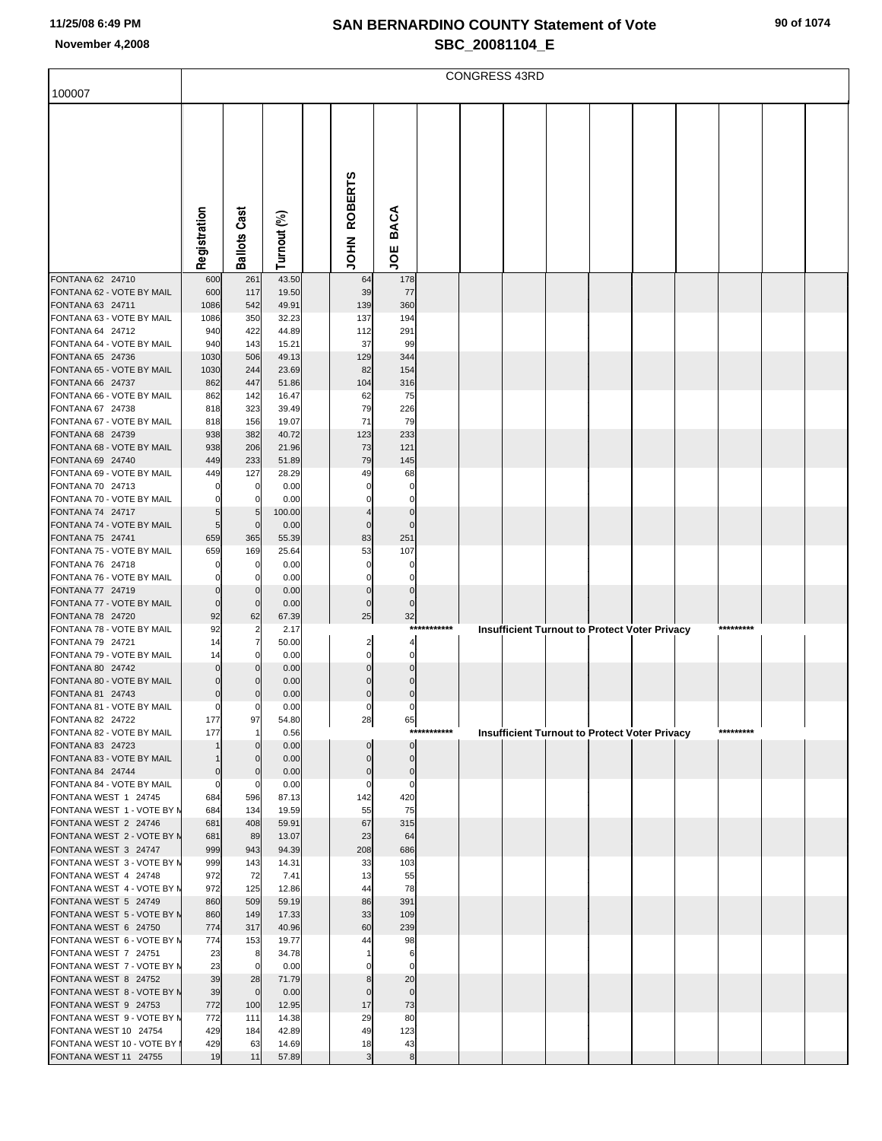| 100007                                               |                            |                            |                |                            |                          |             | <b>CONGRESS 43RD</b> |  |                                                      |  |           |  |
|------------------------------------------------------|----------------------------|----------------------------|----------------|----------------------------|--------------------------|-------------|----------------------|--|------------------------------------------------------|--|-----------|--|
|                                                      |                            |                            |                |                            |                          |             |                      |  |                                                      |  |           |  |
|                                                      |                            |                            |                |                            |                          |             |                      |  |                                                      |  |           |  |
|                                                      |                            |                            |                |                            |                          |             |                      |  |                                                      |  |           |  |
|                                                      |                            |                            |                |                            |                          |             |                      |  |                                                      |  |           |  |
|                                                      |                            |                            |                |                            |                          |             |                      |  |                                                      |  |           |  |
|                                                      |                            |                            |                | <b>ROBERTS</b>             |                          |             |                      |  |                                                      |  |           |  |
|                                                      |                            |                            |                |                            |                          |             |                      |  |                                                      |  |           |  |
|                                                      |                            |                            |                |                            | <b>BACA</b>              |             |                      |  |                                                      |  |           |  |
|                                                      | Registration               | <b>Ballots Cast</b>        | Turnout (%)    | NHOL                       |                          |             |                      |  |                                                      |  |           |  |
|                                                      |                            |                            |                |                            | ξ                        |             |                      |  |                                                      |  |           |  |
| FONTANA 62 24710                                     | 600                        | 261                        | 43.50          | 64                         | 178                      |             |                      |  |                                                      |  |           |  |
| FONTANA 62 - VOTE BY MAIL<br>FONTANA 63 24711        | 600<br>1086                | 117<br>542                 | 19.50<br>49.91 | 39<br>139                  | 77<br>360                |             |                      |  |                                                      |  |           |  |
| FONTANA 63 - VOTE BY MAIL                            | 1086                       | 350                        | 32.23          | 137                        | 194                      |             |                      |  |                                                      |  |           |  |
| FONTANA 64 24712                                     | 940                        | 422                        | 44.89          | 112                        | 291                      |             |                      |  |                                                      |  |           |  |
| FONTANA 64 - VOTE BY MAIL<br>FONTANA 65 24736        | 940<br>1030                | 143<br>506                 | 15.21<br>49.13 | 37<br>129                  | 99<br>344                |             |                      |  |                                                      |  |           |  |
| FONTANA 65 - VOTE BY MAIL                            | 1030                       | 244                        | 23.69          | 82                         | 154                      |             |                      |  |                                                      |  |           |  |
| FONTANA 66 24737                                     | 862                        | 447                        | 51.86          | 104                        | 316                      |             |                      |  |                                                      |  |           |  |
| FONTANA 66 - VOTE BY MAIL<br>FONTANA 67 24738        | 862<br>818                 | 142<br>323                 | 16.47<br>39.49 | 62<br>79                   | 75<br>226                |             |                      |  |                                                      |  |           |  |
| FONTANA 67 - VOTE BY MAIL                            | 818                        | 156                        | 19.07          | 71                         | 79                       |             |                      |  |                                                      |  |           |  |
| FONTANA 68 24739                                     | 938                        | 382                        | 40.72          | 123                        | 233                      |             |                      |  |                                                      |  |           |  |
| FONTANA 68 - VOTE BY MAIL<br>FONTANA 69 24740        | 938<br>449                 | 206<br>233                 | 21.96<br>51.89 | 73<br>79                   | 121<br>145               |             |                      |  |                                                      |  |           |  |
| FONTANA 69 - VOTE BY MAIL                            | 449                        | 127                        | 28.29          | 49                         | 68                       |             |                      |  |                                                      |  |           |  |
| FONTANA 70 24713                                     |                            | $\mathbf 0$                | 0.00           | $\Omega$                   | $\Omega$                 |             |                      |  |                                                      |  |           |  |
| FONTANA 70 - VOTE BY MAIL<br>FONTANA 74 24717        |                            | $\mathbf 0$                | 0.00           | $\Omega$                   | $\Omega$<br>$\Omega$     |             |                      |  |                                                      |  |           |  |
| FONTANA 74 - VOTE BY MAIL                            | 5                          | 5<br>$\mathbf 0$           | 100.00<br>0.00 | $\mathbf 0$                | $\Omega$                 |             |                      |  |                                                      |  |           |  |
| FONTANA 75 24741                                     | 659                        | 365                        | 55.39          | 83                         | 251                      |             |                      |  |                                                      |  |           |  |
| FONTANA 75 - VOTE BY MAIL                            | 659                        | 169                        | 25.64          | 53                         | 107                      |             |                      |  |                                                      |  |           |  |
| FONTANA 76 24718<br>FONTANA 76 - VOTE BY MAIL        |                            | 0<br>$\mathbf 0$           | 0.00<br>0.00   | 0<br>0                     | 0<br>$\Omega$            |             |                      |  |                                                      |  |           |  |
| FONTANA 77 24719                                     |                            | $\mathbf 0$                | 0.00           | $\mathbf 0$                | $\mathbf 0$              |             |                      |  |                                                      |  |           |  |
| FONTANA 77 - VOTE BY MAIL                            | $\Omega$                   | $\mathbf 0$                | 0.00           | $\mathbf 0$                | $\mathbf 0$              |             |                      |  |                                                      |  |           |  |
| FONTANA 78 24720<br>FONTANA 78 - VOTE BY MAIL        | 92<br>92                   | 62<br>$\overline{2}$       | 67.39<br>2.17  | 25                         | 32                       | *********** |                      |  | <b>Insufficient Turnout to Protect Voter Privacy</b> |  | ********* |  |
| FONTANA 79 24721                                     | 14                         | $\overline{7}$             | 50.00          | $\overline{\mathbf{c}}$    | $\Delta$                 |             |                      |  |                                                      |  |           |  |
| FONTANA 79 - VOTE BY MAIL                            | 14                         | $\mathbf 0$                | 0.00           | $\mathbf 0$                | $\mathbf 0$              |             |                      |  |                                                      |  |           |  |
| FONTANA 80 24742<br>FONTANA 80 - VOTE BY MAIL        | C<br>0                     | $\Omega$<br>$\Omega$       | 0.00<br>0.00   | $\mathbf 0$<br>$\mathbf 0$ | $\Omega$<br>$\Omega$     |             |                      |  |                                                      |  |           |  |
| FONTANA 81 24743                                     | $\Omega$                   | $\Omega$                   | 0.00           | $\mathbf 0$                | $\Omega$                 |             |                      |  |                                                      |  |           |  |
| FONTANA 81 - VOTE BY MAIL                            | $\mathbf 0$                | $\overline{0}$             | 0.00           | $\overline{0}$             |                          |             |                      |  |                                                      |  |           |  |
| FONTANA 82 24722<br>FONTANA 82 - VOTE BY MAIL        | 177<br>177                 | 97<br>$\overline{1}$       | 54.80<br>0.56  | 28                         | 65                       | ******      |                      |  | <b>Insufficient Turnout to Protect Voter Privacy</b> |  | ********* |  |
| FONTANA 83 24723                                     |                            | $\Omega$                   | 0.00           | $\mathbf 0$                | $\pmb{0}$                |             |                      |  |                                                      |  |           |  |
| FONTANA 83 - VOTE BY MAIL                            |                            | $\mathbf 0$                | 0.00           | $\mathbf 0$                | $\mathbf 0$              |             |                      |  |                                                      |  |           |  |
| FONTANA 84 24744<br>FONTANA 84 - VOTE BY MAIL        | $\mathbf 0$<br>$\mathbf 0$ | $\mathbf 0$<br>$\mathbf 0$ | 0.00<br>0.00   | $\bf{0}$<br>$\mathbf 0$    | $\pmb{0}$<br>$\mathbf 0$ |             |                      |  |                                                      |  |           |  |
| FONTANA WEST 1 24745                                 | 684                        | 596                        | 87.13          | 142                        | 420                      |             |                      |  |                                                      |  |           |  |
| FONTANA WEST 1 - VOTE BY N                           | 684                        | 134                        | 19.59          | 55                         | 75                       |             |                      |  |                                                      |  |           |  |
| FONTANA WEST 2 24746<br>FONTANA WEST 2 - VOTE BY N   | 681<br>681                 | 408<br>89                  | 59.91<br>13.07 | 67<br>23                   | 315<br>64                |             |                      |  |                                                      |  |           |  |
| FONTANA WEST 3 24747                                 | 999                        | 943                        | 94.39          | 208                        | 686                      |             |                      |  |                                                      |  |           |  |
| FONTANA WEST 3 - VOTE BY N                           | 999                        | 143                        | 14.31          | 33                         | 103                      |             |                      |  |                                                      |  |           |  |
| FONTANA WEST 4 24748<br>FONTANA WEST 4 - VOTE BY N   | 972<br>972                 | 72<br>125                  | 7.41<br>12.86  | 13<br>44                   | 55<br>78                 |             |                      |  |                                                      |  |           |  |
| FONTANA WEST 5 24749                                 | 860                        | 509                        | 59.19          | 86                         | 391                      |             |                      |  |                                                      |  |           |  |
| FONTANA WEST 5 - VOTE BY N                           | 860                        | 149                        | 17.33          | 33                         | 109                      |             |                      |  |                                                      |  |           |  |
| FONTANA WEST 6 24750<br>FONTANA WEST 6 - VOTE BY N   | 774<br>774                 | 317<br>153                 | 40.96<br>19.77 | 60<br>44                   | 239<br>98                |             |                      |  |                                                      |  |           |  |
| FONTANA WEST 7 24751                                 | 23                         | 8                          | 34.78          |                            | 6                        |             |                      |  |                                                      |  |           |  |
| FONTANA WEST 7 - VOTE BY N                           | 23                         | $\mathbf 0$                | 0.00           | 0                          | $\mathbf 0$              |             |                      |  |                                                      |  |           |  |
| FONTANA WEST 8 24752<br>FONTANA WEST 8 - VOTE BY N   | 39<br>39                   | 28<br>$\mathbf 0$          | 71.79<br>0.00  | 8<br>$\mathbf 0$           | 20<br>$\mathbf 0$        |             |                      |  |                                                      |  |           |  |
| FONTANA WEST 9 24753                                 | 772                        | 100                        | 12.95          | 17                         | 73                       |             |                      |  |                                                      |  |           |  |
| FONTANA WEST 9 - VOTE BY N                           | 772                        | 111                        | 14.38          | 29                         | 80                       |             |                      |  |                                                      |  |           |  |
| FONTANA WEST 10 24754<br>FONTANA WEST 10 - VOTE BY I | 429<br>429                 | 184<br>63                  | 42.89<br>14.69 | 49<br>18                   | 123<br>43                |             |                      |  |                                                      |  |           |  |
| FONTANA WEST 11 24755                                | 19                         | 11                         | 57.89          | $\overline{3}$             | 8                        |             |                      |  |                                                      |  |           |  |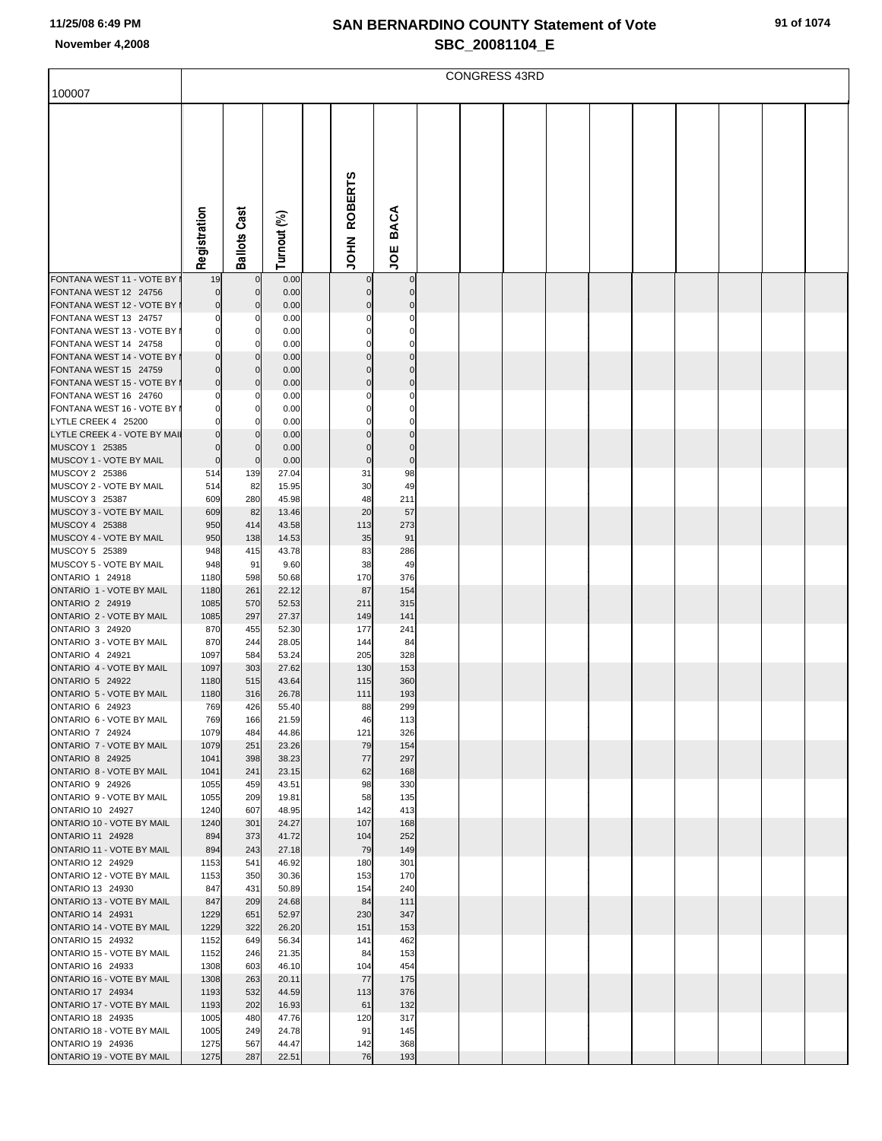|                                                    |              |                         |                |                        |                            | <b>CONGRESS 43RD</b> |  |  |  |  |
|----------------------------------------------------|--------------|-------------------------|----------------|------------------------|----------------------------|----------------------|--|--|--|--|
| 100007                                             |              |                         |                |                        |                            |                      |  |  |  |  |
|                                                    | Registration | <b>Ballots Cast</b>     | Turnout (%)    | <b>ROBERTS</b><br>HIQL | <b>BACA</b><br>ğ           |                      |  |  |  |  |
| FONTANA WEST 11 - VOTE BY<br>FONTANA WEST 12 24756 | 19<br>0      | $\mathbf 0$<br>$\Omega$ | 0.00<br>0.00   | 0<br>$\mathbf 0$       | $\mathbf 0$<br>$\mathbf 0$ |                      |  |  |  |  |
| FONTANA WEST 12 - VOTE BY I                        | 0            | $\mathcal{C}$           | 0.00           | $\mathbf 0$            | $\Omega$                   |                      |  |  |  |  |
| FONTANA WEST 13 24757                              |              | C                       | 0.00           | 0                      | 0                          |                      |  |  |  |  |
| FONTANA WEST 13 - VOTE BY I                        | ŋ            | 0                       | 0.00           | $\mathbf 0$            | $\Omega$                   |                      |  |  |  |  |
| FONTANA WEST 14 24758<br>FONTANA WEST 14 - VOTE BY |              | C<br>$\Omega$           | 0.00<br>0.00   | 0<br>$\mathbf 0$       | 0<br>$\Omega$              |                      |  |  |  |  |
| FONTANA WEST 15 24759                              |              | $\Omega$                | 0.00           | $\mathbf 0$            | $\Omega$                   |                      |  |  |  |  |
| FONTANA WEST 15 - VOTE BY                          | 0            | $\Omega$                | 0.00           | $\mathbf 0$            | $\mathbf 0$                |                      |  |  |  |  |
| FONTANA WEST 16 24760                              |              | C                       | 0.00           | 0                      | $\Omega$                   |                      |  |  |  |  |
| FONTANA WEST 16 - VOTE BY I<br>LYTLE CREEK 4 25200 | 0            | 0<br>C                  | 0.00<br>0.00   | 0<br>0                 | 0<br>0                     |                      |  |  |  |  |
| LYTLE CREEK 4 - VOTE BY MAII                       |              | $\Omega$                | 0.00           | $\mathbf 0$            | $\Omega$                   |                      |  |  |  |  |
| MUSCOY 1 25385                                     | 0            | $\Omega$                | 0.00           | $\mathbf 0$            | $\mathbf 0$                |                      |  |  |  |  |
| MUSCOY 1 - VOTE BY MAIL                            | $\mathbf 0$  | $\mathbf 0$             | 0.00           | $\pmb{0}$              | $\mathbf 0$                |                      |  |  |  |  |
| MUSCOY 2 25386                                     | 514          | 139                     | 27.04          | 31                     | 98                         |                      |  |  |  |  |
| MUSCOY 2 - VOTE BY MAIL<br>MUSCOY 3 25387          | 514<br>609   | 82<br>280               | 15.95<br>45.98 | 30<br>48               | 49<br>211                  |                      |  |  |  |  |
| MUSCOY 3 - VOTE BY MAIL                            | 609          | 82                      | 13.46          | 20                     | 57                         |                      |  |  |  |  |
| MUSCOY 4 25388                                     | 950          | 414                     | 43.58          | 113                    | 273                        |                      |  |  |  |  |
| MUSCOY 4 - VOTE BY MAIL                            | 950          | 138                     | 14.53          | 35                     | 91                         |                      |  |  |  |  |
| MUSCOY 5 25389<br>MUSCOY 5 - VOTE BY MAIL          | 948<br>948   | 415<br>91               | 43.78<br>9.60  | 83<br>38               | 286<br>49                  |                      |  |  |  |  |
| ONTARIO 1 24918                                    | 1180         | 598                     | 50.68          | 170                    | 376                        |                      |  |  |  |  |
| ONTARIO 1 - VOTE BY MAIL                           | 1180         | 261                     | 22.12          | 87                     | 154                        |                      |  |  |  |  |
| <b>ONTARIO 2 24919</b>                             | 1085         | 570                     | 52.53          | 211                    | 315                        |                      |  |  |  |  |
| ONTARIO 2 - VOTE BY MAIL<br>ONTARIO 3 24920        | 1085         | 297                     | 27.37          | 149                    | 141                        |                      |  |  |  |  |
| ONTARIO 3 - VOTE BY MAIL                           | 870<br>870   | 455<br>244              | 52.30<br>28.05 | 177<br>144             | 241<br>84                  |                      |  |  |  |  |
| ONTARIO 4 24921                                    | 1097         | 584                     | 53.24          | 205                    | 328                        |                      |  |  |  |  |
| ONTARIO 4 - VOTE BY MAIL                           | 1097         | 303                     | 27.62          | 130                    | 153                        |                      |  |  |  |  |
| <b>ONTARIO 5 24922</b>                             | 1180         | 515                     | 43.64          | 115                    | 360                        |                      |  |  |  |  |
| ONTARIO 5 - VOTE BY MAIL<br>ONTARIO 6 24923        | 1180<br>769  | 316<br>426              | 26.78<br>55.40 | 111<br>88              | 193<br>299                 |                      |  |  |  |  |
| ONTARIO 6 - VOTE BY MAIL                           | 769          | 166                     | 21.59          | 46                     | 113                        |                      |  |  |  |  |
| ONTARIO 7 24924                                    | 1079         | 484                     | 44.86          | 121                    | 326                        |                      |  |  |  |  |
| ONTARIO 7 - VOTE BY MAIL                           | 1079         | 251                     | 23.26          | 79                     | 154                        |                      |  |  |  |  |
| <b>ONTARIO 8 24925</b><br>ONTARIO 8 - VOTE BY MAIL | 1041<br>1041 | 398<br>241              | 38.23<br>23.15 | 77<br>62               | 297<br>168                 |                      |  |  |  |  |
| ONTARIO 9 24926                                    | 1055         | 459                     | 43.51          | 98                     | 330                        |                      |  |  |  |  |
| ONTARIO 9 - VOTE BY MAIL                           | 1055         | 209                     | 19.81          | 58                     | 135                        |                      |  |  |  |  |
| <b>ONTARIO 10 24927</b>                            | 1240         | 607                     | 48.95          | 142                    | 413                        |                      |  |  |  |  |
| ONTARIO 10 - VOTE BY MAIL<br>ONTARIO 11 24928      | 1240<br>894  | 301<br>373              | 24.27<br>41.72 | 107<br>104             | 168<br>252                 |                      |  |  |  |  |
| ONTARIO 11 - VOTE BY MAIL                          | 894          | 243                     | 27.18          | 79                     | 149                        |                      |  |  |  |  |
| ONTARIO 12 24929                                   | 1153         | 541                     | 46.92          | 180                    | 301                        |                      |  |  |  |  |
| ONTARIO 12 - VOTE BY MAIL                          | 1153         | 350                     | 30.36          | 153                    | 170                        |                      |  |  |  |  |
| ONTARIO 13 24930<br>ONTARIO 13 - VOTE BY MAIL      | 847<br>847   | 431<br>209              | 50.89<br>24.68 | 154<br>84              | 240<br>111                 |                      |  |  |  |  |
| ONTARIO 14 24931                                   | 1229         | 651                     | 52.97          | 230                    | 347                        |                      |  |  |  |  |
| ONTARIO 14 - VOTE BY MAIL                          | 1229         | 322                     | 26.20          | 151                    | 153                        |                      |  |  |  |  |
| <b>ONTARIO 15 24932</b>                            | 1152         | 649                     | 56.34          | 141                    | 462                        |                      |  |  |  |  |
| ONTARIO 15 - VOTE BY MAIL                          | 1152         | 246                     | 21.35          | 84                     | 153                        |                      |  |  |  |  |
| ONTARIO 16 24933<br>ONTARIO 16 - VOTE BY MAIL      | 1308<br>1308 | 603<br>263              | 46.10<br>20.11 | 104<br>77              | 454<br>175                 |                      |  |  |  |  |
| <b>ONTARIO 17 24934</b>                            | 1193         | 532                     | 44.59          | 113                    | 376                        |                      |  |  |  |  |
| ONTARIO 17 - VOTE BY MAIL                          | 1193         | 202                     | 16.93          | 61                     | 132                        |                      |  |  |  |  |
| ONTARIO 18 24935                                   | 1005         | 480                     | 47.76          | 120                    | 317                        |                      |  |  |  |  |
| ONTARIO 18 - VOTE BY MAIL<br>ONTARIO 19 24936      | 1005<br>1275 | 249<br>567              | 24.78<br>44.47 | 91<br>142              | 145<br>368                 |                      |  |  |  |  |
| ONTARIO 19 - VOTE BY MAIL                          | 1275         | 287                     | 22.51          | 76                     | 193                        |                      |  |  |  |  |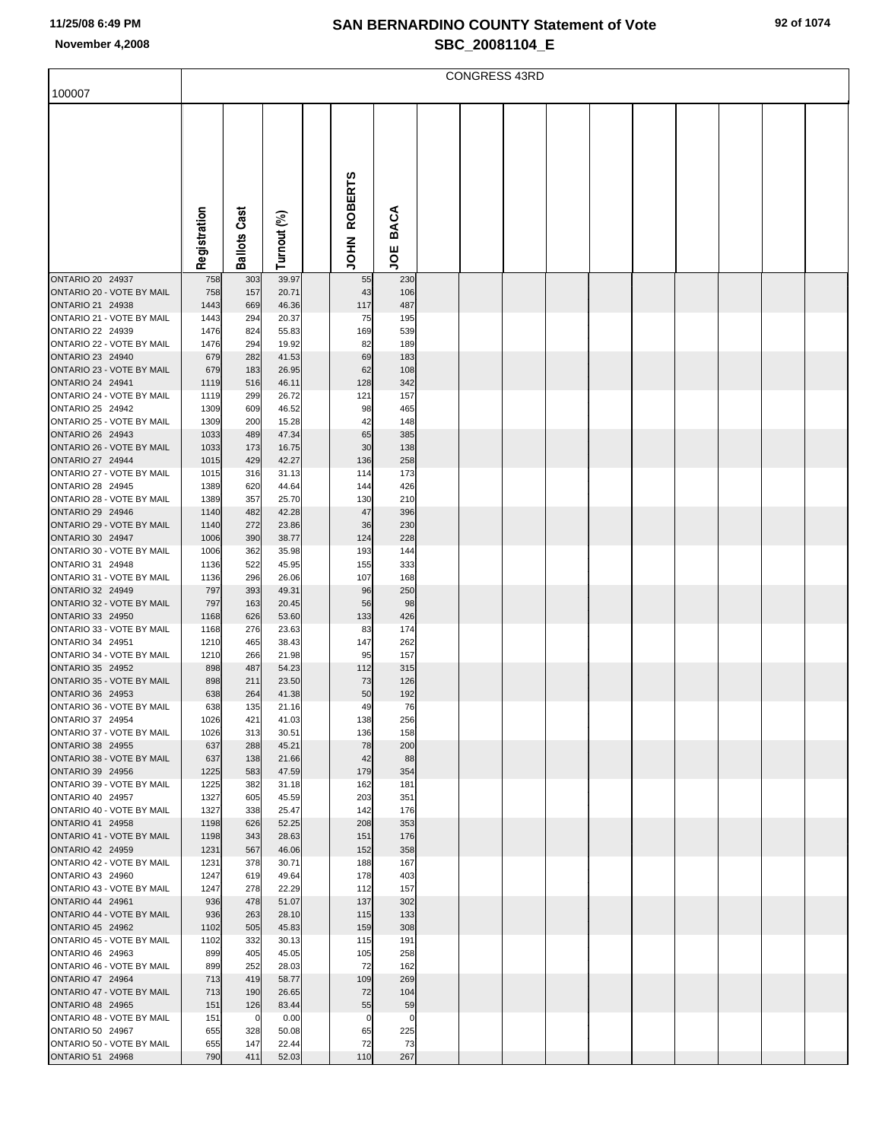|                                                      |              |                     |                |                |             | <b>CONGRESS 43RD</b> |  |  |  |  |
|------------------------------------------------------|--------------|---------------------|----------------|----------------|-------------|----------------------|--|--|--|--|
| 100007                                               |              |                     |                |                |             |                      |  |  |  |  |
|                                                      |              |                     |                |                |             |                      |  |  |  |  |
|                                                      |              |                     |                |                |             |                      |  |  |  |  |
|                                                      |              |                     |                |                |             |                      |  |  |  |  |
|                                                      |              |                     |                |                |             |                      |  |  |  |  |
|                                                      |              |                     |                |                |             |                      |  |  |  |  |
|                                                      |              |                     |                | <b>ROBERTS</b> |             |                      |  |  |  |  |
|                                                      |              |                     |                |                |             |                      |  |  |  |  |
|                                                      |              |                     |                |                | <b>BACA</b> |                      |  |  |  |  |
|                                                      |              |                     |                |                |             |                      |  |  |  |  |
|                                                      | Registration | <b>Ballots Cast</b> | Turnout (%)    | HA<br>S        | ğ           |                      |  |  |  |  |
| ONTARIO 20 24937                                     | 758          | 303                 | 39.97          | 55             | 230         |                      |  |  |  |  |
| ONTARIO 20 - VOTE BY MAIL                            | 758          | 157                 | 20.71          | 43             | 106         |                      |  |  |  |  |
| ONTARIO 21 24938                                     | 1443         | 669                 | 46.36          | 117            | 487         |                      |  |  |  |  |
| ONTARIO 21 - VOTE BY MAIL                            | 1443         | 294                 | 20.37          | 75             | 195         |                      |  |  |  |  |
| ONTARIO 22 24939<br>ONTARIO 22 - VOTE BY MAIL        | 1476<br>1476 | 824<br>294          | 55.83<br>19.92 | 169<br>82      | 539<br>189  |                      |  |  |  |  |
| ONTARIO 23 24940                                     | 679          | 282                 | 41.53          | 69             | 183         |                      |  |  |  |  |
| ONTARIO 23 - VOTE BY MAIL                            | 679          | 183                 | 26.95          | 62             | 108         |                      |  |  |  |  |
| ONTARIO 24 24941                                     | 1119         | 516                 | 46.11          | 128            | 342         |                      |  |  |  |  |
| ONTARIO 24 - VOTE BY MAIL                            | 1119         | 299                 | 26.72          | 121            | 157         |                      |  |  |  |  |
| <b>ONTARIO 25 24942</b><br>ONTARIO 25 - VOTE BY MAIL | 1309<br>1309 | 609<br>200          | 46.52<br>15.28 | 98<br>42       | 465<br>148  |                      |  |  |  |  |
| <b>ONTARIO 26 24943</b>                              | 1033         | 489                 | 47.34          | 65             | 385         |                      |  |  |  |  |
| ONTARIO 26 - VOTE BY MAIL                            | 1033         | 173                 | 16.75          | 30             | 138         |                      |  |  |  |  |
| <b>ONTARIO 27 24944</b>                              | 1015         | 429                 | 42.27          | 136            | 258         |                      |  |  |  |  |
| ONTARIO 27 - VOTE BY MAIL<br>ONTARIO 28 24945        | 1015<br>1389 | 316                 | 31.13          | 114            | 173<br>426  |                      |  |  |  |  |
| ONTARIO 28 - VOTE BY MAIL                            | 1389         | 620<br>357          | 44.64<br>25.70 | 144<br>130     | 210         |                      |  |  |  |  |
| <b>ONTARIO 29 24946</b>                              | 1140         | 482                 | 42.28          | 47             | 396         |                      |  |  |  |  |
| ONTARIO 29 - VOTE BY MAIL                            | 1140         | 272                 | 23.86          | 36             | 230         |                      |  |  |  |  |
| ONTARIO 30 24947                                     | 1006         | 390                 | 38.77          | 124            | 228         |                      |  |  |  |  |
| ONTARIO 30 - VOTE BY MAIL<br>ONTARIO 31 24948        | 1006<br>1136 | 362<br>522          | 35.98<br>45.95 | 193<br>155     | 144<br>333  |                      |  |  |  |  |
| ONTARIO 31 - VOTE BY MAIL                            | 1136         | 296                 | 26.06          | 107            | 168         |                      |  |  |  |  |
| ONTARIO 32 24949                                     | 797          | 393                 | 49.31          | 96             | 250         |                      |  |  |  |  |
| ONTARIO 32 - VOTE BY MAIL                            | 797          | 163                 | 20.45          | 56             | 98          |                      |  |  |  |  |
| ONTARIO 33 24950<br>ONTARIO 33 - VOTE BY MAIL        | 1168         | 626                 | 53.60<br>23.63 | 133            | 426<br>174  |                      |  |  |  |  |
| ONTARIO 34 24951                                     | 1168<br>1210 | 276<br>465          | 38.43          | 83<br>147      | 262         |                      |  |  |  |  |
| ONTARIO 34 - VOTE BY MAIL                            | 1210         | 266                 | 21.98          | 95             | 157         |                      |  |  |  |  |
| ONTARIO 35 24952                                     | 898          | 487                 | 54.23          | 112            | 315         |                      |  |  |  |  |
| ONTARIO 35 - VOTE BY MAIL                            | 898          | 211                 | 23.50          | 73             | 126         |                      |  |  |  |  |
| ONTARIO 36 24953<br>ONTARIO 36 - VOTE BY MAIL        | 638<br>638   | 264<br>135          | 41.38<br>21.16 | 50<br>49       | 192<br>76   |                      |  |  |  |  |
| ONTARIO 37 24954                                     | 1026         | 421                 | 41.03          | 138            | 256         |                      |  |  |  |  |
| ONTARIO 37 - VOTE BY MAIL                            | 1026         | 313                 | 30.51          | 136            | 158         |                      |  |  |  |  |
| ONTARIO 38 24955                                     | 637          | 288                 | 45.21          | 78             | 200         |                      |  |  |  |  |
| ONTARIO 38 - VOTE BY MAIL<br>ONTARIO 39 24956        | 637<br>1225  | 138<br>583          | 21.66<br>47.59 | 42<br>179      | 88<br>354   |                      |  |  |  |  |
| ONTARIO 39 - VOTE BY MAIL                            | 1225         | 382                 | 31.18          | 162            | 181         |                      |  |  |  |  |
| ONTARIO 40 24957                                     | 1327         | 605                 | 45.59          | 203            | 351         |                      |  |  |  |  |
| ONTARIO 40 - VOTE BY MAIL                            | 1327         | 338                 | 25.47          | 142            | 176         |                      |  |  |  |  |
| ONTARIO 41 24958<br>ONTARIO 41 - VOTE BY MAIL        | 1198<br>1198 | 626<br>343          | 52.25<br>28.63 | 208<br>151     | 353<br>176  |                      |  |  |  |  |
| ONTARIO 42 24959                                     | 1231         | 567                 | 46.06          | 152            | 358         |                      |  |  |  |  |
| ONTARIO 42 - VOTE BY MAIL                            | 1231         | 378                 | 30.71          | 188            | 167         |                      |  |  |  |  |
| ONTARIO 43 24960                                     | 1247         | 619                 | 49.64          | 178            | 403         |                      |  |  |  |  |
| ONTARIO 43 - VOTE BY MAIL                            | 1247         | 278                 | 22.29          | 112            | 157         |                      |  |  |  |  |
| ONTARIO 44 24961<br>ONTARIO 44 - VOTE BY MAIL        | 936<br>936   | 478<br>263          | 51.07<br>28.10 | 137<br>115     | 302<br>133  |                      |  |  |  |  |
| ONTARIO 45 24962                                     | 1102         | 505                 | 45.83          | 159            | 308         |                      |  |  |  |  |
| ONTARIO 45 - VOTE BY MAIL                            | 1102         | 332                 | 30.13          | 115            | 191         |                      |  |  |  |  |
| ONTARIO 46 24963                                     | 899          | 405                 | 45.05          | 105            | 258         |                      |  |  |  |  |
| ONTARIO 46 - VOTE BY MAIL<br><b>ONTARIO 47 24964</b> | 899<br>713   | 252<br>419          | 28.03<br>58.77 | 72<br>109      | 162<br>269  |                      |  |  |  |  |
| ONTARIO 47 - VOTE BY MAIL                            | 713          | 190                 | 26.65          | 72             | 104         |                      |  |  |  |  |
| <b>ONTARIO 48 24965</b>                              | 151          | 126                 | 83.44          | 55             | 59          |                      |  |  |  |  |
| ONTARIO 48 - VOTE BY MAIL                            | 151          | $\mathbf 0$         | 0.00           | 0              | 0           |                      |  |  |  |  |
| ONTARIO 50 24967<br>ONTARIO 50 - VOTE BY MAIL        | 655<br>655   | 328<br>147          | 50.08<br>22.44 | 65<br>72       | 225<br>73   |                      |  |  |  |  |
| ONTARIO 51 24968                                     | 790          | 411                 | 52.03          | 110            | 267         |                      |  |  |  |  |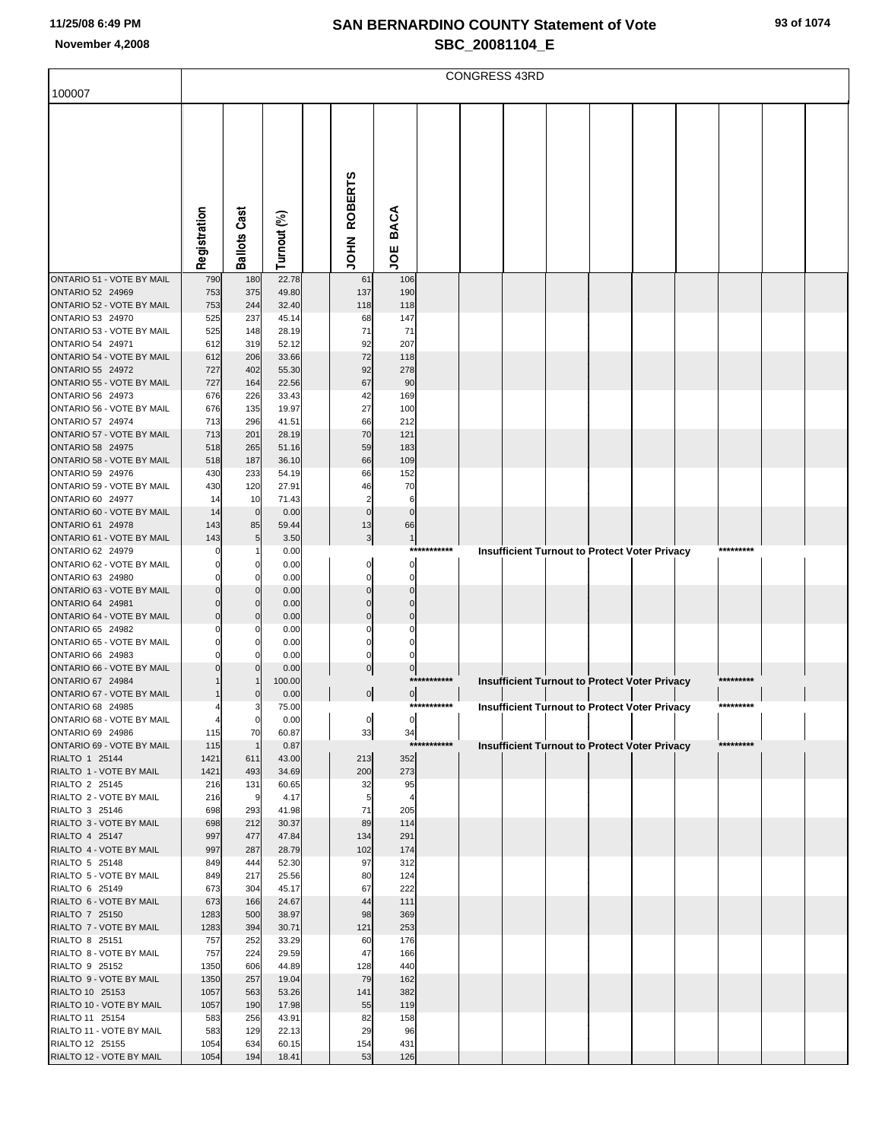|                                               |              |                            |                |                                |                         |             | <b>CONGRESS 43RD</b> |  |                                                      |           |  |
|-----------------------------------------------|--------------|----------------------------|----------------|--------------------------------|-------------------------|-------------|----------------------|--|------------------------------------------------------|-----------|--|
| 100007                                        |              |                            |                |                                |                         |             |                      |  |                                                      |           |  |
|                                               |              |                            |                |                                |                         |             |                      |  |                                                      |           |  |
|                                               |              |                            |                |                                |                         |             |                      |  |                                                      |           |  |
|                                               |              |                            |                |                                |                         |             |                      |  |                                                      |           |  |
|                                               |              |                            |                |                                |                         |             |                      |  |                                                      |           |  |
|                                               |              |                            |                | <b>ROBERTS</b>                 |                         |             |                      |  |                                                      |           |  |
|                                               |              |                            |                |                                |                         |             |                      |  |                                                      |           |  |
|                                               |              |                            |                |                                | <b>BACA</b>             |             |                      |  |                                                      |           |  |
|                                               | Registration | <b>Ballots Cast</b>        | Turnout (%)    | <b>NHOL</b>                    | υÖ                      |             |                      |  |                                                      |           |  |
|                                               |              |                            |                |                                |                         |             |                      |  |                                                      |           |  |
| ONTARIO 51 - VOTE BY MAIL<br>ONTARIO 52 24969 | 790<br>753   | 180<br>375                 | 22.78<br>49.80 | 61<br>137                      | 106<br>190              |             |                      |  |                                                      |           |  |
| ONTARIO 52 - VOTE BY MAIL                     | 753          | 244                        | 32.40          | 118                            | 118                     |             |                      |  |                                                      |           |  |
| ONTARIO 53 24970<br>ONTARIO 53 - VOTE BY MAIL | 525<br>525   | 237<br>148                 | 45.14<br>28.19 | 68<br>71                       | 147<br>71               |             |                      |  |                                                      |           |  |
| ONTARIO 54 24971                              | 612          | 319                        | 52.12          | 92                             | 207                     |             |                      |  |                                                      |           |  |
| ONTARIO 54 - VOTE BY MAIL                     | 612          | 206                        | 33.66          | 72                             | 118                     |             |                      |  |                                                      |           |  |
| ONTARIO 55 24972<br>ONTARIO 55 - VOTE BY MAIL | 727<br>727   | 402<br>164                 | 55.30<br>22.56 | 92<br>67                       | 278<br>90               |             |                      |  |                                                      |           |  |
| ONTARIO 56 24973                              | 676          | 226                        | 33.43          | 42                             | 169                     |             |                      |  |                                                      |           |  |
| ONTARIO 56 - VOTE BY MAIL<br>ONTARIO 57 24974 | 676<br>713   | 135<br>296                 | 19.97<br>41.51 | 27<br>66                       | 100<br>212              |             |                      |  |                                                      |           |  |
| ONTARIO 57 - VOTE BY MAIL                     | 713          | 201                        | 28.19          | 70                             | 121                     |             |                      |  |                                                      |           |  |
| <b>ONTARIO 58 24975</b>                       | 518          | 265                        | 51.16          | 59                             | 183                     |             |                      |  |                                                      |           |  |
| ONTARIO 58 - VOTE BY MAIL<br>ONTARIO 59 24976 | 518<br>430   | 187<br>233                 | 36.10<br>54.19 | 66<br>66                       | 109<br>152              |             |                      |  |                                                      |           |  |
| ONTARIO 59 - VOTE BY MAIL                     | 430          | 120                        | 27.91          | 46                             | 70                      |             |                      |  |                                                      |           |  |
| ONTARIO 60 24977<br>ONTARIO 60 - VOTE BY MAIL | 14<br>14     | 10<br>$\mathbf 0$          | 71.43<br>0.00  | $\overline{2}$<br>$\mathbf{0}$ | 6<br>$\mathbf 0$        |             |                      |  |                                                      |           |  |
| ONTARIO 61 24978                              | 143          | 85                         | 59.44          | 13                             | 66                      |             |                      |  |                                                      |           |  |
| ONTARIO 61 - VOTE BY MAIL<br>ONTARIO 62 24979 | 143          | 5                          | 3.50           | $\overline{\mathbf{3}}$        | $\mathbf{1}$            | *********** |                      |  |                                                      | ********* |  |
| ONTARIO 62 - VOTE BY MAIL                     |              | 0                          | 0.00<br>0.00   |                                | 0                       |             |                      |  | <b>Insufficient Turnout to Protect Voter Privacy</b> |           |  |
| ONTARIO 63 24980                              |              | 0                          | 0.00           | $\Omega$                       | $\Omega$                |             |                      |  |                                                      |           |  |
| ONTARIO 63 - VOTE BY MAIL<br>ONTARIO 64 24981 |              | $\mathbf 0$<br>$\mathbf 0$ | 0.00<br>0.00   | $\Omega$<br>$\Omega$           | $\mathbf 0$<br>$\Omega$ |             |                      |  |                                                      |           |  |
| ONTARIO 64 - VOTE BY MAIL                     |              | $\mathbf 0$                | 0.00           | $\overline{0}$                 | $\mathbf 0$             |             |                      |  |                                                      |           |  |
| ONTARIO 65 24982<br>ONTARIO 65 - VOTE BY MAIL |              | 0<br>0                     | 0.00<br>0.00   | 0<br>0                         | $\Omega$                |             |                      |  |                                                      |           |  |
| ONTARIO 66 24983                              |              | $\Omega$                   | 0.00           | 0                              |                         |             |                      |  |                                                      |           |  |
| ONTARIO 66 - VOTE BY MAIL                     |              | $\Omega$                   | 0.00           | $\overline{0}$                 | $\overline{0}$          | *********** |                      |  |                                                      | ********* |  |
| ONTARIO 67 24984<br>ONTARIO 67 - VOTE BY MAIL |              | $\mathbf 0$                | 100.00<br>0.00 | $\overline{0}$                 | $\overline{0}$          |             |                      |  | <b>Insufficient Turnout to Protect Voter Privacy</b> |           |  |
| ONTARIO 68 24985                              | 4            | 3                          | 75.00          |                                |                         | *********** |                      |  | <b>Insufficient Turnout to Protect Voter Privacy</b> | ********* |  |
| ONTARIO 68 - VOTE BY MAIL<br>ONTARIO 69 24986 | 115          | $\mathbf 0$<br>70          | 0.00<br>60.87  | $\circ$<br>33                  | $\circ$<br>34           |             |                      |  |                                                      |           |  |
| ONTARIO 69 - VOTE BY MAIL                     | 115          | $\overline{1}$             | 0.87           |                                |                         | *********** |                      |  | <b>Insufficient Turnout to Protect Voter Privacy</b> | ********* |  |
| RIALTO 1 25144                                | 1421         | 611<br>493                 | 43.00          | 213                            | 352<br>273              |             |                      |  |                                                      |           |  |
| RIALTO 1 - VOTE BY MAIL<br>RIALTO 2 25145     | 1421<br>216  | 131                        | 34.69<br>60.65 | 200<br>32                      | 95                      |             |                      |  |                                                      |           |  |
| RIALTO 2 - VOTE BY MAIL                       | 216          | 9                          | 4.17           | 5                              | 4                       |             |                      |  |                                                      |           |  |
| RIALTO 3 25146<br>RIALTO 3 - VOTE BY MAIL     | 698<br>698   | 293<br>212                 | 41.98<br>30.37 | 71<br>89                       | 205<br>114              |             |                      |  |                                                      |           |  |
| RIALTO 4 25147                                | 997          | 477                        | 47.84          | 134                            | 291                     |             |                      |  |                                                      |           |  |
| RIALTO 4 - VOTE BY MAIL<br>RIALTO 5 25148     | 997<br>849   | 287<br>444                 | 28.79<br>52.30 | 102<br>97                      | 174<br>312              |             |                      |  |                                                      |           |  |
| RIALTO 5 - VOTE BY MAIL                       | 849          | 217                        | 25.56          | 80                             | 124                     |             |                      |  |                                                      |           |  |
| RIALTO 6 25149                                | 673          | 304                        | 45.17          | 67                             | 222                     |             |                      |  |                                                      |           |  |
| RIALTO 6 - VOTE BY MAIL<br>RIALTO 7 25150     | 673<br>1283  | 166<br>500                 | 24.67<br>38.97 | 44<br>98                       | 111<br>369              |             |                      |  |                                                      |           |  |
| RIALTO 7 - VOTE BY MAIL                       | 1283         | 394                        | 30.71          | 121                            | 253                     |             |                      |  |                                                      |           |  |
| RIALTO 8 25151<br>RIALTO 8 - VOTE BY MAIL     | 757<br>757   | 252<br>224                 | 33.29<br>29.59 | 60<br>47                       | 176<br>166              |             |                      |  |                                                      |           |  |
| RIALTO 9 25152                                | 1350         | 606                        | 44.89          | 128                            | 440                     |             |                      |  |                                                      |           |  |
| RIALTO 9 - VOTE BY MAIL<br>RIALTO 10 25153    | 1350<br>1057 | 257<br>563                 | 19.04<br>53.26 | 79<br>141                      | 162<br>382              |             |                      |  |                                                      |           |  |
| RIALTO 10 - VOTE BY MAIL                      | 1057         | 190                        | 17.98          | 55                             | 119                     |             |                      |  |                                                      |           |  |
| RIALTO 11 25154                               | 583          | 256                        | 43.91          | 82                             | 158                     |             |                      |  |                                                      |           |  |
| RIALTO 11 - VOTE BY MAIL<br>RIALTO 12 25155   | 583<br>1054  | 129<br>634                 | 22.13<br>60.15 | 29<br>154                      | 96<br>431               |             |                      |  |                                                      |           |  |
| RIALTO 12 - VOTE BY MAIL                      | 1054         | 194                        | 18.41          | 53                             | 126                     |             |                      |  |                                                      |           |  |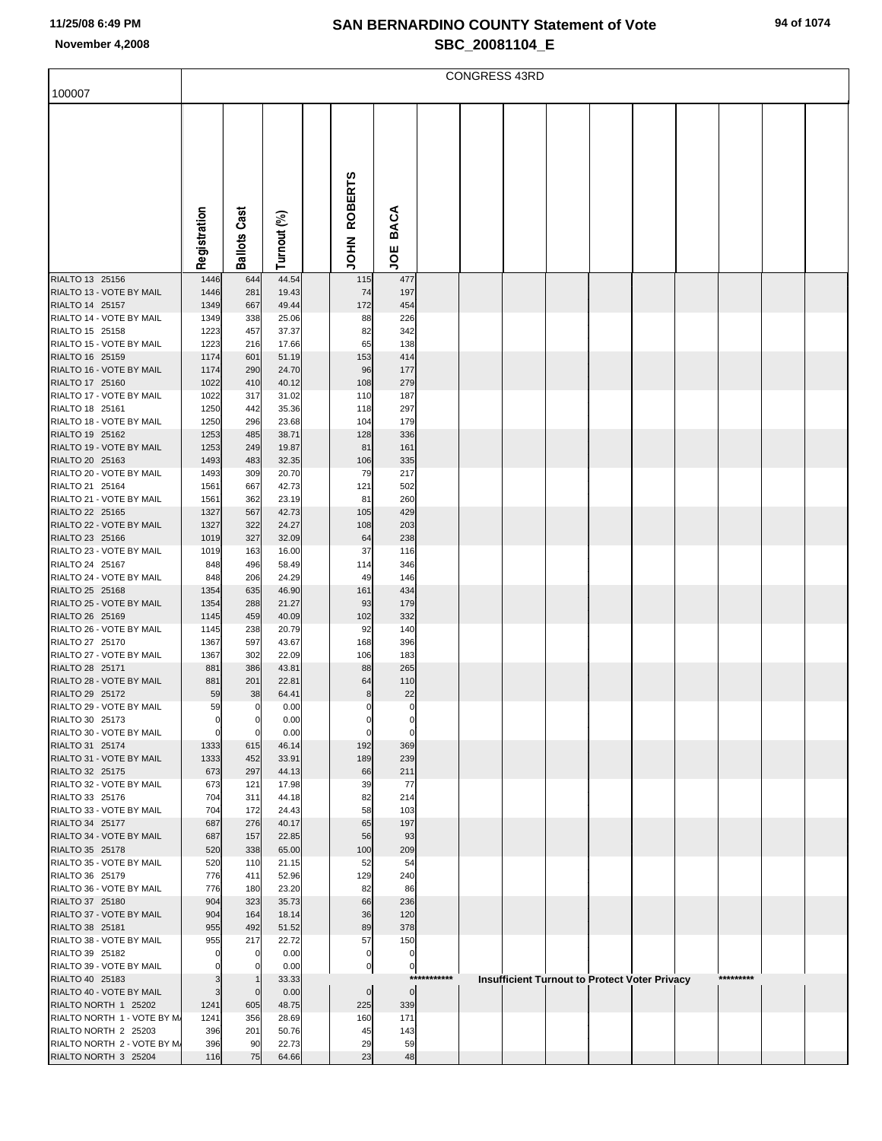|                                                     |                |                     |                |                        |                  |             | <b>CONGRESS 43RD</b> |  |                                               |           |  |
|-----------------------------------------------------|----------------|---------------------|----------------|------------------------|------------------|-------------|----------------------|--|-----------------------------------------------|-----------|--|
| 100007                                              |                |                     |                |                        |                  |             |                      |  |                                               |           |  |
|                                                     |                |                     |                |                        |                  |             |                      |  |                                               |           |  |
|                                                     | Registration   | <b>Ballots Cast</b> | Turnout (%)    | <b>ROBERTS</b><br>NHOL | <b>BACA</b><br>ğ |             |                      |  |                                               |           |  |
|                                                     |                |                     |                |                        |                  |             |                      |  |                                               |           |  |
| RIALTO 13 25156                                     | 1446           | 644                 | 44.54          | 115                    | 477              |             |                      |  |                                               |           |  |
| RIALTO 13 - VOTE BY MAIL<br>RIALTO 14 25157         | 1446<br>1349   | 281<br>667          | 19.43<br>49.44 | 74<br>172              | 197<br>454       |             |                      |  |                                               |           |  |
| RIALTO 14 - VOTE BY MAIL                            | 1349           | 338                 | 25.06          | 88                     | 226              |             |                      |  |                                               |           |  |
| RIALTO 15 25158                                     | 1223           | 457                 | 37.37          | 82                     | 342              |             |                      |  |                                               |           |  |
| RIALTO 15 - VOTE BY MAIL                            | 1223           | 216                 | 17.66          | 65                     | 138              |             |                      |  |                                               |           |  |
| RIALTO 16 25159<br>RIALTO 16 - VOTE BY MAIL         | 1174           | 601                 | 51.19          | 153                    | 414              |             |                      |  |                                               |           |  |
| RIALTO 17 25160                                     | 1174<br>1022   | 290<br>410          | 24.70<br>40.12 | 96<br>108              | 177<br>279       |             |                      |  |                                               |           |  |
| RIALTO 17 - VOTE BY MAIL                            | 1022           | 317                 | 31.02          | 110                    | 187              |             |                      |  |                                               |           |  |
| RIALTO 18 25161                                     | 1250           | 442                 | 35.36          | 118                    | 297              |             |                      |  |                                               |           |  |
| RIALTO 18 - VOTE BY MAIL                            | 1250           | 296                 | 23.68          | 104                    | 179              |             |                      |  |                                               |           |  |
| RIALTO 19 25162<br>RIALTO 19 - VOTE BY MAIL         | 1253           | 485<br>249          | 38.71<br>19.87 | 128<br>81              | 336              |             |                      |  |                                               |           |  |
| RIALTO 20 25163                                     | 1253<br>1493   | 483                 | 32.35          | 106                    | 161<br>335       |             |                      |  |                                               |           |  |
| RIALTO 20 - VOTE BY MAIL                            | 1493           | 309                 | 20.70          | 79                     | 217              |             |                      |  |                                               |           |  |
| RIALTO 21 25164                                     | 1561           | 667                 | 42.73          | 121                    | 502              |             |                      |  |                                               |           |  |
| RIALTO 21 - VOTE BY MAIL                            | 1561           | 362                 | 23.19          | 81                     | 260              |             |                      |  |                                               |           |  |
| RIALTO 22 25165<br>RIALTO 22 - VOTE BY MAIL         | 1327<br>1327   | 567                 | 42.73          | 105                    | 429              |             |                      |  |                                               |           |  |
| RIALTO 23 25166                                     | 1019           | 322<br>327          | 24.27<br>32.09 | 108<br>64              | 203<br>238       |             |                      |  |                                               |           |  |
| RIALTO 23 - VOTE BY MAIL                            | 1019           | 163                 | 16.00          | 37                     | 116              |             |                      |  |                                               |           |  |
| RIALTO 24 25167                                     | 848            | 496                 | 58.49          | 114                    | 346              |             |                      |  |                                               |           |  |
| RIALTO 24 - VOTE BY MAIL                            | 848            | 206                 | 24.29          | 49                     | 146              |             |                      |  |                                               |           |  |
| RIALTO 25 25168<br>RIALTO 25 - VOTE BY MAIL         | 1354<br>1354   | 635<br>288          | 46.90<br>21.27 | 161<br>93              | 434<br>179       |             |                      |  |                                               |           |  |
| RIALTO 26 25169                                     | 1145           | 459                 | 40.09          | 102                    | 332              |             |                      |  |                                               |           |  |
| RIALTO 26 - VOTE BY MAIL                            | 1145           | 238                 | 20.79          | 92                     | 140              |             |                      |  |                                               |           |  |
| RIALTO 27 25170                                     | 1367           | 597                 | 43.67          | 168                    | 396              |             |                      |  |                                               |           |  |
| RIALTO 27 - VOTE BY MAIL                            | 1367           | 302                 | 22.09          | 106                    | 183              |             |                      |  |                                               |           |  |
| RIALTO 28 25171<br>RIALTO 28 - VOTE BY MAIL         | 881<br>881     | 386<br>201          | 43.81<br>22.81 | 88<br>64               | 265<br>110       |             |                      |  |                                               |           |  |
| RIALTO 29 25172                                     | 59             | 38                  | 64.41          | 8                      | 22               |             |                      |  |                                               |           |  |
| RIALTO 29 - VOTE BY MAIL                            | 59             |                     | 0.00           |                        |                  |             |                      |  |                                               |           |  |
| RIALTO 30 25173                                     | $\overline{0}$ | 0                   | 0.00           | 0                      | $\mathbf 0$      |             |                      |  |                                               |           |  |
| RIALTO 30 - VOTE BY MAIL                            | 0              | 0                   | 0.00           |                        |                  |             |                      |  |                                               |           |  |
| RIALTO 31 25174<br>RIALTO 31 - VOTE BY MAIL         | 1333<br>1333   | 615<br>452          | 46.14<br>33.91 | 192<br>189             | 369<br>239       |             |                      |  |                                               |           |  |
| RIALTO 32 25175                                     | 673            | 297                 | 44.13          | 66                     | 211              |             |                      |  |                                               |           |  |
| RIALTO 32 - VOTE BY MAIL                            | 673            | 121                 | 17.98          | 39                     | 77               |             |                      |  |                                               |           |  |
| RIALTO 33 25176                                     | 704            | 311                 | 44.18          | 82                     | 214              |             |                      |  |                                               |           |  |
| RIALTO 33 - VOTE BY MAIL<br>RIALTO 34 25177         | 704<br>687     | 172<br>276          | 24.43<br>40.17 | 58<br>65               | 103<br>197       |             |                      |  |                                               |           |  |
| RIALTO 34 - VOTE BY MAIL                            | 687            | 157                 | 22.85          | 56                     | 93               |             |                      |  |                                               |           |  |
| RIALTO 35 25178                                     | 520            | 338                 | 65.00          | 100                    | 209              |             |                      |  |                                               |           |  |
| RIALTO 35 - VOTE BY MAIL                            | 520            | 110                 | 21.15          | 52                     | 54               |             |                      |  |                                               |           |  |
| RIALTO 36 25179                                     | 776            | 411                 | 52.96          | 129                    | 240              |             |                      |  |                                               |           |  |
| RIALTO 36 - VOTE BY MAIL<br>RIALTO 37 25180         | 776<br>904     | 180<br>323          | 23.20<br>35.73 | 82<br>66               | 86<br>236        |             |                      |  |                                               |           |  |
| RIALTO 37 - VOTE BY MAIL                            | 904            | 164                 | 18.14          | 36                     | 120              |             |                      |  |                                               |           |  |
| RIALTO 38 25181                                     | 955            | 492                 | 51.52          | 89                     | 378              |             |                      |  |                                               |           |  |
| RIALTO 38 - VOTE BY MAIL                            | 955            | 217                 | 22.72          | 57                     | 150              |             |                      |  |                                               |           |  |
| RIALTO 39 25182                                     | 0              | 0                   | 0.00           | $\mathbf 0$            | $\pmb{0}$        |             |                      |  |                                               |           |  |
| RIALTO 39 - VOTE BY MAIL<br>RIALTO 40 25183         | 0<br>3         | 0<br>-1             | 0.00<br>33.33  | $\pmb{0}$              | $\pmb{0}$        | *********** |                      |  | Insufficient Turnout to Protect Voter Privacy | ********* |  |
| RIALTO 40 - VOTE BY MAIL                            | 3              | $\mathbf 0$         | 0.00           | $\mathbf 0$            | $\overline{0}$   |             |                      |  |                                               |           |  |
| RIALTO NORTH 1 25202                                | 1241           | 605                 | 48.75          | 225                    | 339              |             |                      |  |                                               |           |  |
| RIALTO NORTH 1 - VOTE BY M.                         | 1241           | 356                 | 28.69          | 160                    | 171              |             |                      |  |                                               |           |  |
| RIALTO NORTH 2 25203<br>RIALTO NORTH 2 - VOTE BY M. | 396<br>396     | 201<br>90           | 50.76<br>22.73 | 45<br>29               | 143<br>59        |             |                      |  |                                               |           |  |
| RIALTO NORTH 3 25204                                | 116            | 75                  | 64.66          | 23                     | 48               |             |                      |  |                                               |           |  |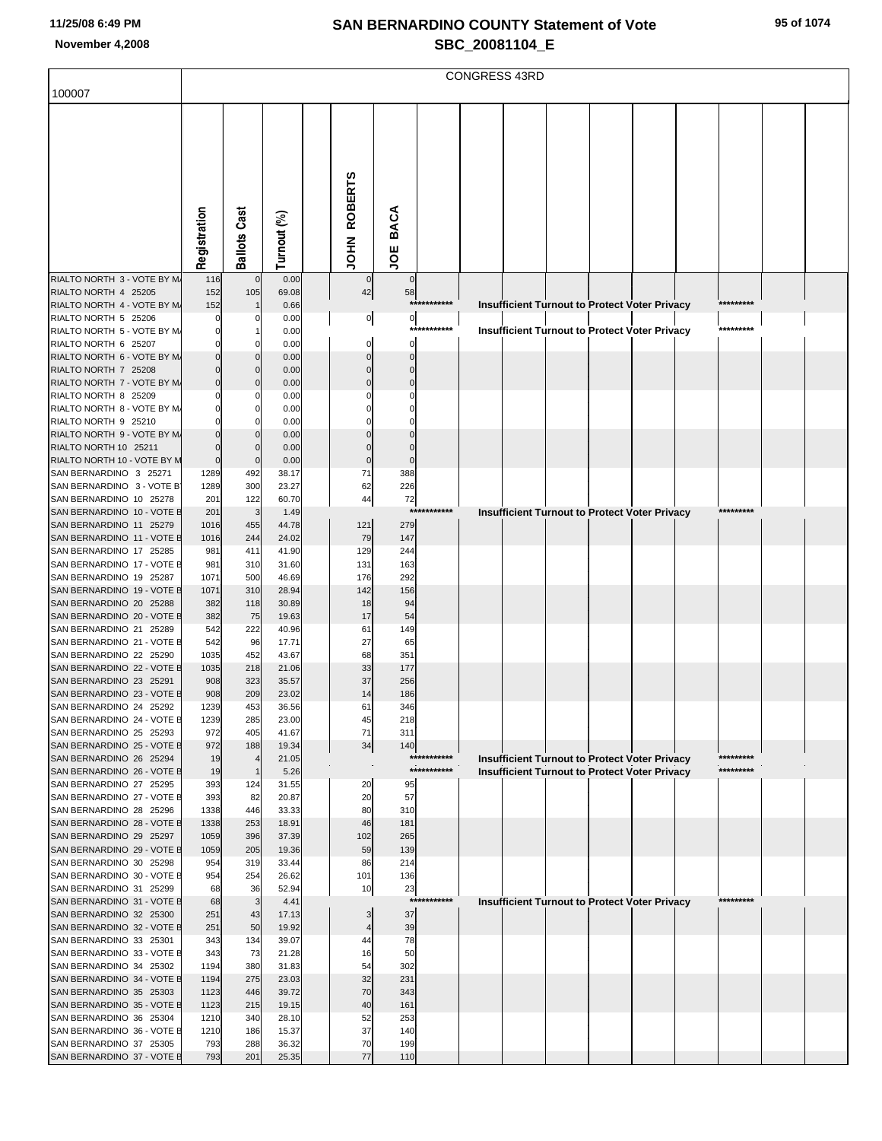|                                                       |                         |                     |                |                      |                      |             | <b>CONGRESS 43RD</b> |  |                                                      |           |  |
|-------------------------------------------------------|-------------------------|---------------------|----------------|----------------------|----------------------|-------------|----------------------|--|------------------------------------------------------|-----------|--|
| 100007                                                |                         |                     |                |                      |                      |             |                      |  |                                                      |           |  |
|                                                       |                         |                     |                |                      |                      |             |                      |  |                                                      |           |  |
|                                                       |                         |                     |                |                      |                      |             |                      |  |                                                      |           |  |
|                                                       |                         |                     |                |                      |                      |             |                      |  |                                                      |           |  |
|                                                       |                         |                     |                |                      |                      |             |                      |  |                                                      |           |  |
|                                                       |                         |                     |                |                      |                      |             |                      |  |                                                      |           |  |
|                                                       |                         |                     |                |                      |                      |             |                      |  |                                                      |           |  |
|                                                       |                         |                     |                | <b>ROBERTS</b>       |                      |             |                      |  |                                                      |           |  |
|                                                       |                         |                     |                |                      | <b>BACA</b>          |             |                      |  |                                                      |           |  |
|                                                       |                         |                     |                |                      |                      |             |                      |  |                                                      |           |  |
|                                                       | Registration            | <b>Ballots Cast</b> | Turnout (%)    | NHOL                 | ğ                    |             |                      |  |                                                      |           |  |
| RIALTO NORTH 3 - VOTE BY M.                           | 116                     | $\mathbf 0$         | 0.00           | 0                    | $\mathbf 0$          |             |                      |  |                                                      |           |  |
| RIALTO NORTH 4 25205                                  | 152                     | 105                 | 69.08          | 42                   | 58                   |             |                      |  |                                                      |           |  |
| RIALTO NORTH 4 - VOTE BY M.                           | 152                     |                     | 0.66           |                      |                      | *********** |                      |  | Insufficient Turnout to Protect Voter Privacy        | ********* |  |
| RIALTO NORTH 5 25206<br>RIALTO NORTH 5 - VOTE BY M.   | 0                       | 0                   | 0.00<br>0.00   | $\overline{0}$       | $\circ$              | *********** |                      |  | Insufficient Turnout to Protect Voter Privacy        | ********* |  |
| RIALTO NORTH 6 25207                                  |                         | 0                   | 0.00           | 0                    | $\Omega$             |             |                      |  |                                                      |           |  |
| RIALTO NORTH 6 - VOTE BY M.                           |                         | 0                   | 0.00           |                      | $\Omega$             |             |                      |  |                                                      |           |  |
| RIALTO NORTH 7 25208                                  |                         | $\mathbf 0$         | 0.00           | $\Omega$             | $\Omega$             |             |                      |  |                                                      |           |  |
| RIALTO NORTH 7 - VOTE BY M.<br>RIALTO NORTH 8 25209   |                         | $\Omega$<br>0       | 0.00<br>0.00   | $\Omega$             | $\Omega$             |             |                      |  |                                                      |           |  |
| RIALTO NORTH 8 - VOTE BY M.                           |                         | 0                   | 0.00           |                      |                      |             |                      |  |                                                      |           |  |
| RIALTO NORTH 9 25210                                  |                         | 0                   | 0.00           |                      |                      |             |                      |  |                                                      |           |  |
| RIALTO NORTH 9 - VOTE BY M.                           |                         | $\Omega$            | 0.00           |                      |                      |             |                      |  |                                                      |           |  |
| RIALTO NORTH 10 25211<br>RIALTO NORTH 10 - VOTE BY M  | $\Omega$<br>$\mathbf 0$ | $\mathbf 0$         | 0.00<br>0.00   | $\Omega$<br>$\Omega$ | $\Omega$<br>$\Omega$ |             |                      |  |                                                      |           |  |
| SAN BERNARDINO 3 25271                                | 1289                    | $\mathbf 0$<br>492  | 38.17          | 71                   | 388                  |             |                      |  |                                                      |           |  |
| SAN BERNARDINO 3 - VOTE B                             | 1289                    | 300                 | 23.27          | 62                   | 226                  |             |                      |  |                                                      |           |  |
| SAN BERNARDINO 10 25278                               | 201                     | 122                 | 60.70          | 44                   | 72                   |             |                      |  |                                                      |           |  |
| SAN BERNARDINO 10 - VOTE E                            | 201                     | 3                   | 1.49           |                      | ***                  | *******     |                      |  | Insufficient Turnout to Protect Voter Privacy        | ********* |  |
| SAN BERNARDINO 11 25279<br>SAN BERNARDINO 11 - VOTE E | 1016<br>1016            | 455<br>244          | 44.78<br>24.02 | 121<br>79            | 279<br>147           |             |                      |  |                                                      |           |  |
| SAN BERNARDINO 17 25285                               | 981                     | 411                 | 41.90          | 129                  | 244                  |             |                      |  |                                                      |           |  |
| SAN BERNARDINO 17 - VOTE E                            | 981                     | 310                 | 31.60          | 131                  | 163                  |             |                      |  |                                                      |           |  |
| SAN BERNARDINO 19 25287                               | 1071                    | 500                 | 46.69          | 176                  | 292                  |             |                      |  |                                                      |           |  |
| SAN BERNARDINO 19 - VOTE B<br>SAN BERNARDINO 20 25288 | 1071<br>382             | 310<br>118          | 28.94<br>30.89 | 142<br>18            | 156<br>94            |             |                      |  |                                                      |           |  |
| SAN BERNARDINO 20 - VOTE E                            | 382                     | 75                  | 19.63          | 17                   | 54                   |             |                      |  |                                                      |           |  |
| SAN BERNARDINO 21 25289                               | 542                     | 222                 | 40.96          | 61                   | 149                  |             |                      |  |                                                      |           |  |
| SAN BERNARDINO 21 - VOTE E                            | 542                     | 96                  | 17.71          | 27                   | 65                   |             |                      |  |                                                      |           |  |
| SAN BERNARDINO 22 25290<br>SAN BERNARDINO 22 - VOTE E | 1035<br>1035            | 452<br>218          | 43.67<br>21.06 | 68<br>33             | 351<br>177           |             |                      |  |                                                      |           |  |
| SAN BERNARDINO 23 25291                               | 908                     | 323                 | 35.57          | 37                   | 256                  |             |                      |  |                                                      |           |  |
| SAN BERNARDINO 23 - VOTE E                            | 908                     | 209                 | 23.02          | 14                   | 186                  |             |                      |  |                                                      |           |  |
| SAN BERNARDINO 24 25292                               | 1239                    | 453                 | 36.56          | 61                   | 346                  |             |                      |  |                                                      |           |  |
| SAN BERNARDINO 24 - VOTE E<br>SAN BERNARDINO 25 25293 | 1239<br>972             | 285<br>405          | 23.00<br>41.67 | 45<br>71             | 218<br>311           |             |                      |  |                                                      |           |  |
| SAN BERNARDINO 25 - VOTE E                            | 972                     | 188                 | 19.34          | 34                   | 140                  |             |                      |  |                                                      |           |  |
| SAN BERNARDINO 26 25294                               | 19                      | $\overline{4}$      | 21.05          |                      |                      | *********** |                      |  | <b>Insufficient Turnout to Protect Voter Privacy</b> | ********* |  |
| SAN BERNARDINO 26 - VOTE E                            | 19                      | $\mathbf{1}$        | 5.26           |                      |                      | *********** |                      |  | <b>Insufficient Turnout to Protect Voter Privacy</b> | ********* |  |
| SAN BERNARDINO 27 25295<br>SAN BERNARDINO 27 - VOTE E | 393<br>393              | 124<br>82           | 31.55<br>20.87 | 20<br>20             | 95<br>57             |             |                      |  |                                                      |           |  |
| SAN BERNARDINO 28 25296                               | 1338                    | 446                 | 33.33          | 80                   | 310                  |             |                      |  |                                                      |           |  |
| SAN BERNARDINO 28 - VOTE E                            | 1338                    | 253                 | 18.91          | 46                   | 181                  |             |                      |  |                                                      |           |  |
| SAN BERNARDINO 29 25297                               | 1059                    | 396                 | 37.39          | 102                  | 265                  |             |                      |  |                                                      |           |  |
| SAN BERNARDINO 29 - VOTE E<br>SAN BERNARDINO 30 25298 | 1059<br>954             | 205<br>319          | 19.36<br>33.44 | 59<br>86             | 139<br>214           |             |                      |  |                                                      |           |  |
| SAN BERNARDINO 30 - VOTE E                            | 954                     | 254                 | 26.62          | 101                  | 136                  |             |                      |  |                                                      |           |  |
| SAN BERNARDINO 31 25299                               | 68                      | 36                  | 52.94          | 10                   | 23                   |             |                      |  |                                                      |           |  |
| SAN BERNARDINO 31 - VOTE E                            | 68                      | 3                   | 4.41           |                      |                      | *********** |                      |  | <b>Insufficient Turnout to Protect Voter Privacy</b> | ********* |  |
| SAN BERNARDINO 32 25300<br>SAN BERNARDINO 32 - VOTE E | 251<br>251              | 43<br>50            | 17.13<br>19.92 | 3<br>$\overline{4}$  | 37<br>39             |             |                      |  |                                                      |           |  |
| SAN BERNARDINO 33 25301                               | 343                     | 134                 | 39.07          | 44                   | 78                   |             |                      |  |                                                      |           |  |
| SAN BERNARDINO 33 - VOTE E                            | 343                     | 73                  | 21.28          | 16                   | 50                   |             |                      |  |                                                      |           |  |
| SAN BERNARDINO 34 25302                               | 1194                    | 380                 | 31.83          | 54                   | 302                  |             |                      |  |                                                      |           |  |
| SAN BERNARDINO 34 - VOTE E<br>SAN BERNARDINO 35 25303 | 1194<br>1123            | 275<br>446          | 23.03<br>39.72 | 32<br>70             | 231<br>343           |             |                      |  |                                                      |           |  |
| SAN BERNARDINO 35 - VOTE E                            | 1123                    | 215                 | 19.15          | 40                   | 161                  |             |                      |  |                                                      |           |  |
| SAN BERNARDINO 36 25304                               | 1210                    | 340                 | 28.10          | 52                   | 253                  |             |                      |  |                                                      |           |  |
| SAN BERNARDINO 36 - VOTE E                            | 1210                    | 186                 | 15.37          | 37                   | 140                  |             |                      |  |                                                      |           |  |
| SAN BERNARDINO 37 25305<br>SAN BERNARDINO 37 - VOTE E | 793<br>793              | 288<br>201          | 36.32<br>25.35 | 70<br>77             | 199<br>110           |             |                      |  |                                                      |           |  |
|                                                       |                         |                     |                |                      |                      |             |                      |  |                                                      |           |  |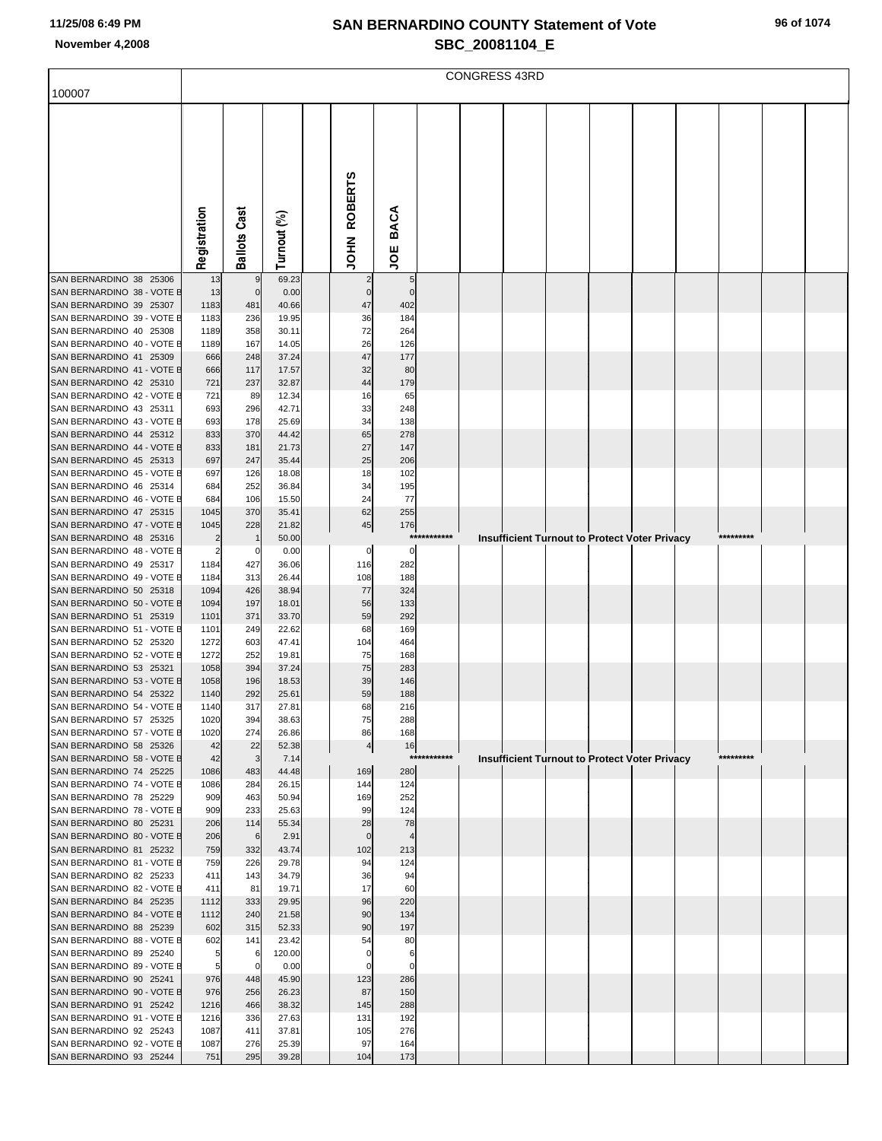| 100007                                                |              |                     |                |                      |                 |             | <b>CONGRESS 43RD</b> |  |                                                      |           |  |
|-------------------------------------------------------|--------------|---------------------|----------------|----------------------|-----------------|-------------|----------------------|--|------------------------------------------------------|-----------|--|
|                                                       |              |                     |                |                      |                 |             |                      |  |                                                      |           |  |
|                                                       |              |                     |                |                      |                 |             |                      |  |                                                      |           |  |
|                                                       |              |                     |                |                      |                 |             |                      |  |                                                      |           |  |
|                                                       |              |                     |                |                      |                 |             |                      |  |                                                      |           |  |
|                                                       |              |                     |                |                      |                 |             |                      |  |                                                      |           |  |
|                                                       |              |                     |                |                      |                 |             |                      |  |                                                      |           |  |
|                                                       |              |                     |                | <b>ROBERTS</b>       | <b>BACA</b>     |             |                      |  |                                                      |           |  |
|                                                       | Registration | <b>Ballots Cast</b> | Turnout (%)    | NHOL                 |                 |             |                      |  |                                                      |           |  |
|                                                       |              |                     |                |                      | ğ               |             |                      |  |                                                      |           |  |
| SAN BERNARDINO 38 25306                               | 13           |                     | 69.23          |                      | 5               |             |                      |  |                                                      |           |  |
| SAN BERNARDINO 38 - VOTE E<br>SAN BERNARDINO 39 25307 | 13<br>1183   | $\mathbf 0$<br>481  | 0.00<br>40.66  | $\mathbf 0$<br>47    | $\Omega$<br>402 |             |                      |  |                                                      |           |  |
| SAN BERNARDINO 39 - VOTE E                            | 1183         | 236                 | 19.95          | 36                   | 184             |             |                      |  |                                                      |           |  |
| SAN BERNARDINO 40 25308<br>SAN BERNARDINO 40 - VOTE E | 1189<br>1189 | 358<br>167          | 30.11<br>14.05 | 72<br>26             | 264<br>126      |             |                      |  |                                                      |           |  |
| SAN BERNARDINO 41 25309                               | 666          | 248                 | 37.24          | 47                   | 177             |             |                      |  |                                                      |           |  |
| SAN BERNARDINO 41 - VOTE E                            | 666          | 117                 | 17.57          | 32                   | 80              |             |                      |  |                                                      |           |  |
| SAN BERNARDINO 42 25310<br>SAN BERNARDINO 42 - VOTE B | 721<br>721   | 237<br>89           | 32.87<br>12.34 | 44<br>16             | 179<br>65       |             |                      |  |                                                      |           |  |
| SAN BERNARDINO 43 25311                               | 693          | 296                 | 42.71          | 33                   | 248             |             |                      |  |                                                      |           |  |
| SAN BERNARDINO 43 - VOTE E<br>SAN BERNARDINO 44 25312 | 693<br>833   | 178<br>370          | 25.69<br>44.42 | 34<br>65             | 138<br>278      |             |                      |  |                                                      |           |  |
| SAN BERNARDINO 44 - VOTE E                            | 833          | 181                 | 21.73          | 27                   | 147             |             |                      |  |                                                      |           |  |
| SAN BERNARDINO 45 25313                               | 697          | 247                 | 35.44          | 25                   | 206             |             |                      |  |                                                      |           |  |
| SAN BERNARDINO 45 - VOTE B<br>SAN BERNARDINO 46 25314 | 697<br>684   | 126<br>252          | 18.08<br>36.84 | 18<br>34             | 102<br>195      |             |                      |  |                                                      |           |  |
| SAN BERNARDINO 46 - VOTE E                            | 684          | 106                 | 15.50          | 24                   | 77              |             |                      |  |                                                      |           |  |
| SAN BERNARDINO 47 25315<br>SAN BERNARDINO 47 - VOTE E | 1045<br>1045 | 370<br>228          | 35.41<br>21.82 | 62<br>45             | 255<br>176      |             |                      |  |                                                      |           |  |
| SAN BERNARDINO 48 25316                               |              | $\mathbf{1}$        | 50.00          |                      |                 | *********** |                      |  | <b>Insufficient Turnout to Protect Voter Privacy</b> | ********* |  |
| SAN BERNARDINO 48 - VOTE B<br>SAN BERNARDINO 49 25317 | 1184         | 0<br>427            | 0.00           | 0                    | 0<br>282        |             |                      |  |                                                      |           |  |
| SAN BERNARDINO 49 - VOTE E                            | 1184         | 313                 | 36.06<br>26.44 | 116<br>108           | 188             |             |                      |  |                                                      |           |  |
| SAN BERNARDINO 50 25318                               | 1094         | 426                 | 38.94          | 77                   | 324             |             |                      |  |                                                      |           |  |
| SAN BERNARDINO 50 - VOTE E<br>SAN BERNARDINO 51 25319 | 1094<br>1101 | 197<br>371          | 18.01<br>33.70 | 56<br>59             | 133<br>292      |             |                      |  |                                                      |           |  |
| SAN BERNARDINO 51 - VOTE B                            | 1101         | 249                 | 22.62          | 68                   | 169             |             |                      |  |                                                      |           |  |
| SAN BERNARDINO 52 25320<br>SAN BERNARDINO 52 - VOTE B | 1272<br>1272 | 603<br>252          | 47.41          | 104                  | 464<br>168      |             |                      |  |                                                      |           |  |
| SAN BERNARDINO 53 25321                               | 1058         | 394                 | 19.81<br>37.24 | 75<br>75             | 283             |             |                      |  |                                                      |           |  |
| SAN BERNARDINO 53 - VOTE E                            | 1058         | 196                 | 18.53          | 39                   | 146             |             |                      |  |                                                      |           |  |
| SAN BERNARDINO 54 25322<br>SAN BERNARDINO 54 - VOTE E | 1140<br>1140 | 292<br>317          | 25.61<br>27.81 | 59<br>68             | 188<br>216      |             |                      |  |                                                      |           |  |
| SAN BERNARDINO 57 25325                               | 1020         | 394                 | 38.63          | 75                   | 288             |             |                      |  |                                                      |           |  |
| SAN BERNARDINO 57 - VOTE E<br>SAN BERNARDINO 58 25326 | 1020<br>42   | 274<br>22           | 26.86<br>52.38 | 86<br>$\overline{4}$ | 168<br>16       |             |                      |  |                                                      |           |  |
| SAN BERNARDINO 58 - VOTE E                            | 42           | 3                   | 7.14           |                      | $***$           | ******      |                      |  | <b>Insufficient Turnout to Protect Voter Privacy</b> | ********* |  |
| SAN BERNARDINO 74 25225                               | 1086         | 483                 | 44.48          | 169                  | 280             |             |                      |  |                                                      |           |  |
| SAN BERNARDINO 74 - VOTE E<br>SAN BERNARDINO 78 25229 | 1086<br>909  | 284<br>463          | 26.15<br>50.94 | 144<br>169           | 124<br>252      |             |                      |  |                                                      |           |  |
| SAN BERNARDINO 78 - VOTE E                            | 909          | 233                 | 25.63          | 99                   | 124             |             |                      |  |                                                      |           |  |
| SAN BERNARDINO 80 25231<br>SAN BERNARDINO 80 - VOTE E | 206<br>206   | 114<br>6            | 55.34<br>2.91  | 28<br>$\mathbf 0$    | 78              |             |                      |  |                                                      |           |  |
| SAN BERNARDINO 81 25232                               | 759          | 332                 | 43.74          | 102                  | 213             |             |                      |  |                                                      |           |  |
| SAN BERNARDINO 81 - VOTE E                            | 759          | 226                 | 29.78          | 94                   | 124             |             |                      |  |                                                      |           |  |
| SAN BERNARDINO 82 25233<br>SAN BERNARDINO 82 - VOTE E | 411<br>411   | 143<br>81           | 34.79<br>19.71 | 36<br>17             | 94<br>60        |             |                      |  |                                                      |           |  |
| SAN BERNARDINO 84 25235                               | 1112         | 333                 | 29.95          | 96                   | 220             |             |                      |  |                                                      |           |  |
| SAN BERNARDINO 84 - VOTE E<br>SAN BERNARDINO 88 25239 | 1112<br>602  | 240<br>315          | 21.58<br>52.33 | 90<br>90             | 134<br>197      |             |                      |  |                                                      |           |  |
| SAN BERNARDINO 88 - VOTE E                            | 602          | 141                 | 23.42          | 54                   | 80              |             |                      |  |                                                      |           |  |
| SAN BERNARDINO 89 25240<br>SAN BERNARDINO 89 - VOTE E | 5<br>5       | 6<br>0              | 120.00<br>0.00 | 0<br>$\Omega$        | 6<br>$\Omega$   |             |                      |  |                                                      |           |  |
| SAN BERNARDINO 90 25241                               | 976          | 448                 | 45.90          | 123                  | 286             |             |                      |  |                                                      |           |  |
| SAN BERNARDINO 90 - VOTE E                            | 976          | 256                 | 26.23          | 87                   | 150             |             |                      |  |                                                      |           |  |
| SAN BERNARDINO 91 25242<br>SAN BERNARDINO 91 - VOTE E | 1216<br>1216 | 466<br>336          | 38.32<br>27.63 | 145<br>131           | 288<br>192      |             |                      |  |                                                      |           |  |
| SAN BERNARDINO 92 25243                               | 1087         | 411                 | 37.81          | 105                  | 276             |             |                      |  |                                                      |           |  |
| SAN BERNARDINO 92 - VOTE E<br>SAN BERNARDINO 93 25244 | 1087<br>751  | 276<br>295          | 25.39<br>39.28 | 97<br>104            | 164<br>173      |             |                      |  |                                                      |           |  |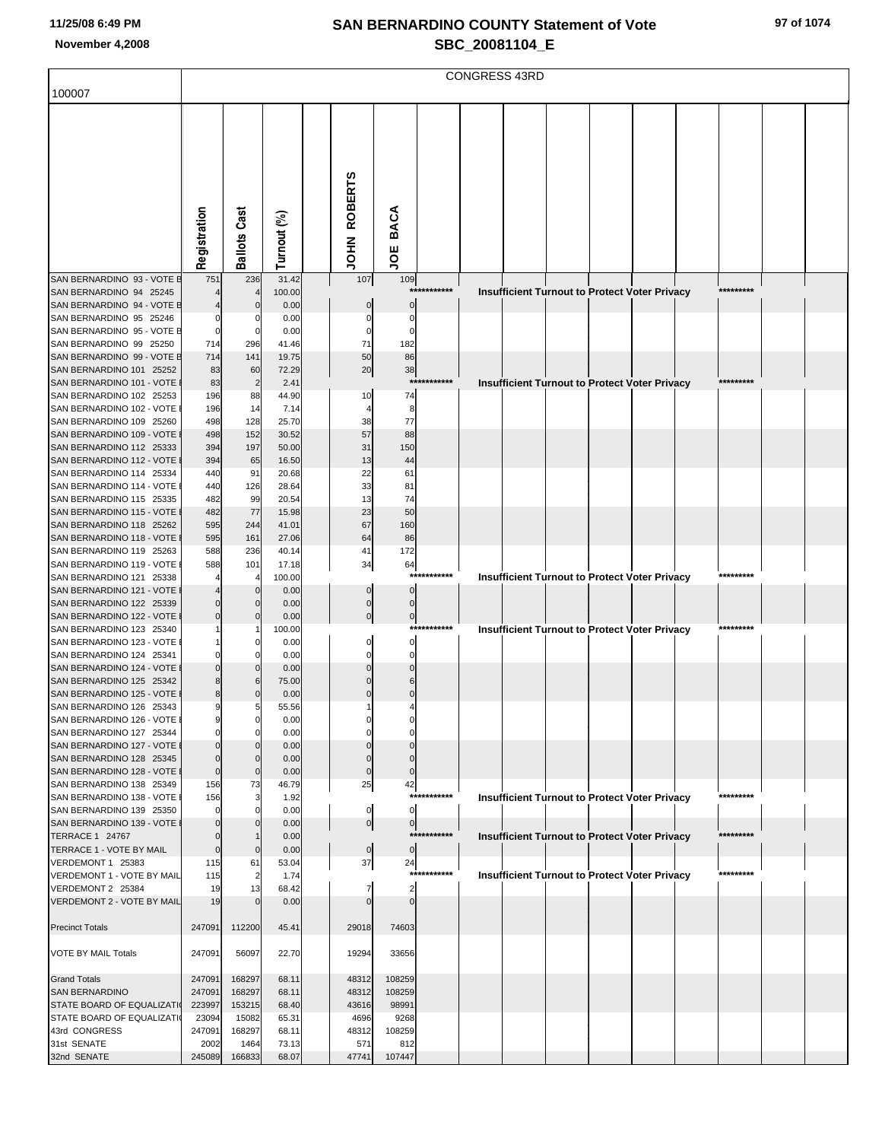| 100007                                                 |                 |                     |                |                      |                      |             | <b>CONGRESS 43RD</b> |  |                                                      |           |  |
|--------------------------------------------------------|-----------------|---------------------|----------------|----------------------|----------------------|-------------|----------------------|--|------------------------------------------------------|-----------|--|
|                                                        |                 |                     |                |                      |                      |             |                      |  |                                                      |           |  |
|                                                        |                 |                     |                |                      |                      |             |                      |  |                                                      |           |  |
|                                                        |                 |                     |                |                      |                      |             |                      |  |                                                      |           |  |
|                                                        |                 |                     |                |                      |                      |             |                      |  |                                                      |           |  |
|                                                        |                 |                     |                |                      |                      |             |                      |  |                                                      |           |  |
|                                                        |                 |                     |                |                      |                      |             |                      |  |                                                      |           |  |
|                                                        |                 |                     |                |                      |                      |             |                      |  |                                                      |           |  |
|                                                        |                 |                     |                |                      |                      |             |                      |  |                                                      |           |  |
|                                                        |                 |                     |                |                      | <b>BACA</b>          |             |                      |  |                                                      |           |  |
|                                                        |                 |                     |                |                      |                      |             |                      |  |                                                      |           |  |
|                                                        | Registration    | <b>Ballots Cast</b> | Turnout (%)    | JOHN ROBERTS         | ξ                    |             |                      |  |                                                      |           |  |
| SAN BERNARDINO 93 - VOTE E                             | 751             | 236                 | 31.42          | 107                  | 109                  |             |                      |  |                                                      |           |  |
| SAN BERNARDINO 94 25245                                |                 |                     | 100.00         |                      |                      | *********** |                      |  | <b>Insufficient Turnout to Protect Voter Privacy</b> | ********* |  |
| SAN BERNARDINO 94 - VOTE E                             |                 | C                   | 0.00           |                      | $\Omega$             |             |                      |  |                                                      |           |  |
| SAN BERNARDINO 95 25246<br>SAN BERNARDINO 95 - VOTE E  |                 | 0<br>$\mathbf 0$    | 0.00<br>0.00   | $\Omega$<br>$\Omega$ | $\Omega$<br>C        |             |                      |  |                                                      |           |  |
| SAN BERNARDINO 99 25250                                | 714             | 296                 | 41.46          | 71                   | 182                  |             |                      |  |                                                      |           |  |
| SAN BERNARDINO 99 - VOTE E                             | 714             | 141                 | 19.75          | 50                   | 86                   |             |                      |  |                                                      |           |  |
| SAN BERNARDINO 101 25252                               | 83              | 60                  | 72.29          | 20                   | 38                   |             |                      |  |                                                      |           |  |
| SAN BERNARDINO 101 - VOTE                              | 83              | $\overline{2}$      | 2.41           |                      | $***$                | *******     |                      |  | <b>Insufficient Turnout to Protect Voter Privacy</b> | ********* |  |
| SAN BERNARDINO 102 25253<br>SAN BERNARDINO 102 - VOTE  | 196<br>196      | 88<br>14            | 44.90<br>7.14  | 10                   | 74<br>8              |             |                      |  |                                                      |           |  |
| SAN BERNARDINO 109 25260                               | 498             | 128                 | 25.70          | 38                   | 77                   |             |                      |  |                                                      |           |  |
| SAN BERNARDINO 109 - VOTE                              | 498             | 152                 | 30.52          | 57                   | 88                   |             |                      |  |                                                      |           |  |
| SAN BERNARDINO 112 25333                               | 394             | 197                 | 50.00          | 31                   | 150                  |             |                      |  |                                                      |           |  |
| SAN BERNARDINO 112 - VOTE                              | 394             | 65                  | 16.50          | 13                   | 44                   |             |                      |  |                                                      |           |  |
| SAN BERNARDINO 114 25334<br>SAN BERNARDINO 114 - VOTE  | 440<br>440      | 91<br>126           | 20.68<br>28.64 | 22<br>33             | 61<br>81             |             |                      |  |                                                      |           |  |
| SAN BERNARDINO 115 25335                               | 482             | 99                  | 20.54          | 13                   | 74                   |             |                      |  |                                                      |           |  |
| SAN BERNARDINO 115 - VOTE                              | 482             | 77                  | 15.98          | 23                   | 50                   |             |                      |  |                                                      |           |  |
| SAN BERNARDINO 118 25262                               | 595             | 244                 | 41.01          | 67                   | 160                  |             |                      |  |                                                      |           |  |
| SAN BERNARDINO 118 - VOTE                              | 595             | 161                 | 27.06          | 64                   | 86                   |             |                      |  |                                                      |           |  |
| SAN BERNARDINO 119 25263<br>SAN BERNARDINO 119 - VOTE  | 588<br>588      | 236<br>101          | 40.14<br>17.18 | 41                   | 172                  |             |                      |  |                                                      |           |  |
| SAN BERNARDINO 121 25338                               |                 |                     | 100.00         | 34                   | 64                   | *********** |                      |  | <b>Insufficient Turnout to Protect Voter Privacy</b> | ********* |  |
| SAN BERNARDINO 121 - VOTE                              |                 | $\Omega$            | 0.00           | $\Omega$             | $\Omega$             |             |                      |  |                                                      |           |  |
| SAN BERNARDINO 122 25339                               |                 | $\mathbf 0$         | 0.00           | $\pmb{0}$            | $\Omega$             |             |                      |  |                                                      |           |  |
| SAN BERNARDINO 122 - VOTE                              |                 | $\Omega$            | 0.00           | $\mathbf 0$          | $\overline{0}$       |             |                      |  |                                                      |           |  |
| SAN BERNARDINO 123 25340<br>SAN BERNARDINO 123 - VOTE  |                 | C                   | 100.00<br>0.00 |                      | O                    | *********** |                      |  | <b>Insufficient Turnout to Protect Voter Privacy</b> | ********* |  |
| SAN BERNARDINO 124 25341                               |                 | $\Omega$            | 0.00           |                      |                      |             |                      |  |                                                      |           |  |
| SAN BERNARDINO 124 - VOTE                              |                 | $\sqrt{ }$          | 0.00           |                      |                      |             |                      |  |                                                      |           |  |
| SAN BERNARDINO 125 25342                               |                 | 6                   | 75.00          |                      |                      |             |                      |  |                                                      |           |  |
| SAN BERNARDINO 125 - VOTE                              |                 | $\Omega$            | 0.00           |                      |                      |             |                      |  |                                                      |           |  |
| SAN BERNARDINO 126 25343<br>SAN BERNARDINO 126 - VOTE  |                 | 5<br>0              | 55.56<br>0.00  |                      |                      |             |                      |  |                                                      |           |  |
| SAN BERNARDINO 127 25344                               |                 | $\Omega$            | 0.00           |                      |                      |             |                      |  |                                                      |           |  |
| SAN BERNARDINO 127 - VOTE                              |                 | $\Omega$            | 0.00           |                      |                      |             |                      |  |                                                      |           |  |
| SAN BERNARDINO 128 25345                               | O               | $\mathbf 0$         | 0.00           | $\mathbf 0$          | $\Omega$             |             |                      |  |                                                      |           |  |
| SAN BERNARDINO 128 - VOTE<br>SAN BERNARDINO 138 25349  | $\Omega$        | $\mathbf 0$         | 0.00           | $\pmb{0}$            | $\mathbf 0$          |             |                      |  |                                                      |           |  |
| SAN BERNARDINO 138 - VOTE                              | 156<br>156      | 73<br>3             | 46.79<br>1.92  | 25                   | 42                   | *********** |                      |  | <b>Insufficient Turnout to Protect Voter Privacy</b> | ********* |  |
| SAN BERNARDINO 139 25350                               |                 | $\mathbf 0$         | 0.00           | 0                    | $\mathbf 0$          |             |                      |  |                                                      |           |  |
| SAN BERNARDINO 139 - VOTE                              |                 |                     | 0.00           | $\overline{0}$       | $\overline{0}$       |             |                      |  |                                                      |           |  |
| <b>TERRACE 1 24767</b>                                 |                 |                     | 0.00           |                      |                      | *********** |                      |  | <b>Insufficient Turnout to Protect Voter Privacy</b> | ********* |  |
| TERRACE 1 - VOTE BY MAIL<br>VERDEMONT 1 25383          | $\Omega$<br>115 | $\mathbf 0$<br>61   | 0.00<br>53.04  | 0 <br>37             | $\overline{0}$<br>24 |             |                      |  |                                                      |           |  |
| VERDEMONT 1 - VOTE BY MAIL                             | 115             | $\overline{2}$      | 1.74           |                      |                      | *********** |                      |  | <b>Insufficient Turnout to Protect Voter Privacy</b> | ********* |  |
| VERDEMONT 2 25384                                      | 19              | 13                  | 68.42          |                      | $\overline{2}$       |             |                      |  |                                                      |           |  |
| VERDEMONT 2 - VOTE BY MAIL                             | 19              | $\Omega$            | 0.00           | $\Omega$             | $\Omega$             |             |                      |  |                                                      |           |  |
|                                                        |                 |                     |                |                      |                      |             |                      |  |                                                      |           |  |
| <b>Precinct Totals</b>                                 | 247091          | 112200              | 45.41          | 29018                | 74603                |             |                      |  |                                                      |           |  |
| <b>VOTE BY MAIL Totals</b>                             | 247091          | 56097               | 22.70          | 19294                | 33656                |             |                      |  |                                                      |           |  |
|                                                        |                 |                     |                |                      |                      |             |                      |  |                                                      |           |  |
| <b>Grand Totals</b>                                    | 247091          | 168297              | 68.11          | 48312                | 108259               |             |                      |  |                                                      |           |  |
| <b>SAN BERNARDINO</b>                                  | 247091          | 168297              | 68.11          | 48312                | 108259               |             |                      |  |                                                      |           |  |
| STATE BOARD OF EQUALIZATI<br>STATE BOARD OF EQUALIZATI | 223997<br>23094 | 153215<br>15082     | 68.40<br>65.31 | 43616<br>4696        | 98991<br>9268        |             |                      |  |                                                      |           |  |
| 43rd CONGRESS                                          | 247091          | 168297              | 68.11          | 48312                | 108259               |             |                      |  |                                                      |           |  |
| 31st SENATE                                            | 2002            | 1464                | 73.13          | 571                  | 812                  |             |                      |  |                                                      |           |  |
| 32nd SENATE                                            | 245089          | 166833              | 68.07          | 47741                | 107447               |             |                      |  |                                                      |           |  |